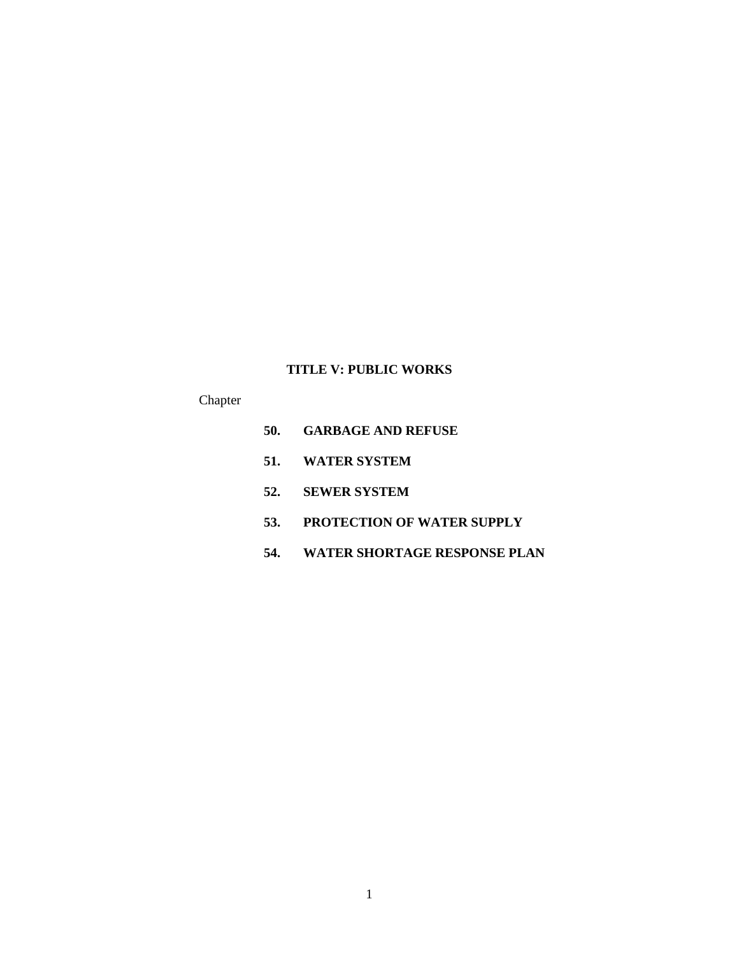# **TITLE V: PUBLIC WORKS**

Chapter

- **50. GARBAGE AND REFUSE**
- **51. WATER SYSTEM**
- **52. SEWER SYSTEM**
- **53. PROTECTION OF WATER SUPPLY**
- **54. WATER SHORTAGE RESPONSE PLAN**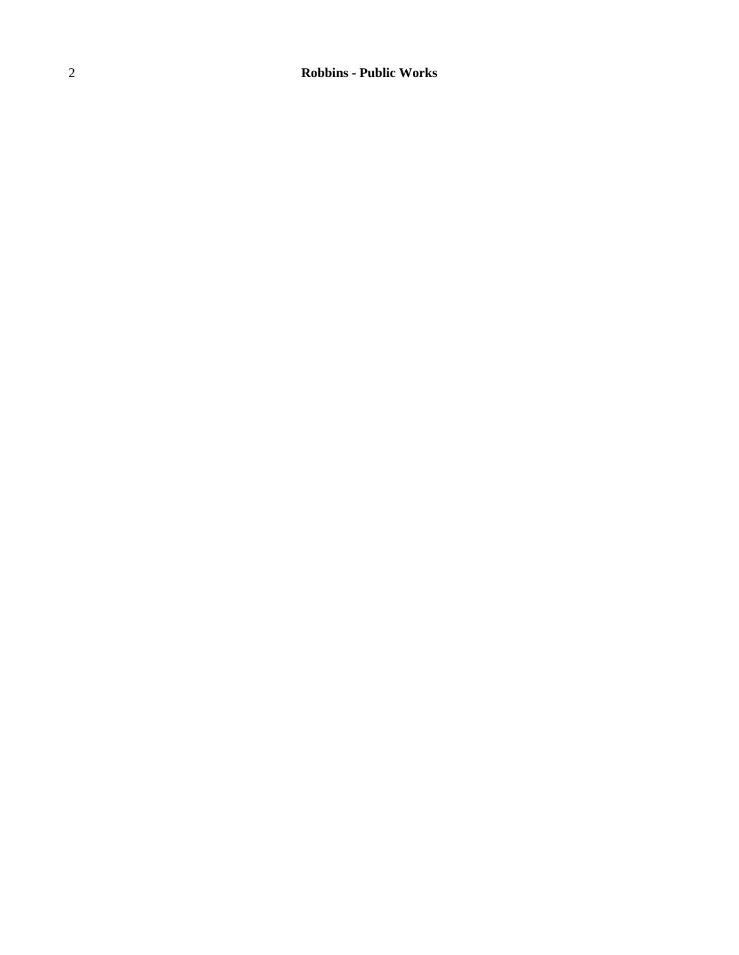**Robbins - Public Works**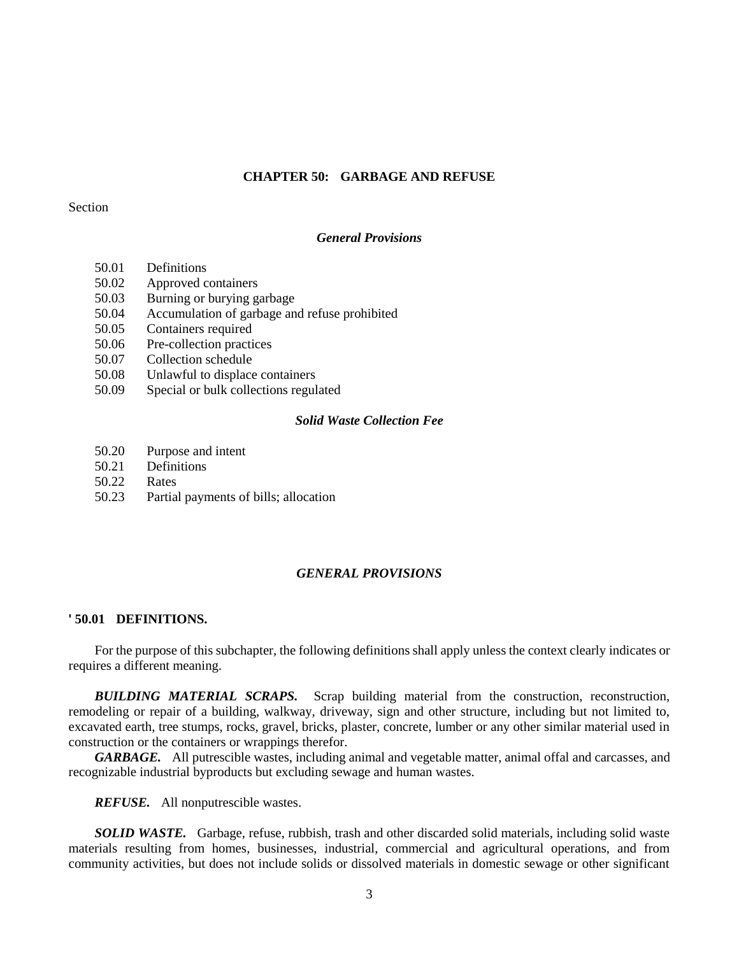#### **CHAPTER 50: GARBAGE AND REFUSE**

## Section

## *General Provisions*

- 50.01 Definitions
- 50.02 Approved containers
- 50.03 Burning or burying garbage
- 50.04 Accumulation of garbage and refuse prohibited
- 50.05 Containers required
- 50.06 Pre-collection practices
- 50.07 Collection schedule
- 50.08 Unlawful to displace containers
- 50.09 Special or bulk collections regulated

## *Solid Waste Collection Fee*

- 50.20 Purpose and intent
- 50.21 Definitions
- 50.22 Rates
- 50.23 Partial payments of bills; allocation

#### *GENERAL PROVISIONS*

#### **' 50.01 DEFINITIONS.**

For the purpose of this subchapter, the following definitions shall apply unless the context clearly indicates or requires a different meaning.

**BUILDING MATERIAL SCRAPS.** Scrap building material from the construction, reconstruction, remodeling or repair of a building, walkway, driveway, sign and other structure, including but not limited to, excavated earth, tree stumps, rocks, gravel, bricks, plaster, concrete, lumber or any other similar material used in construction or the containers or wrappings therefor.

*GARBAGE.* All putrescible wastes, including animal and vegetable matter, animal offal and carcasses, and recognizable industrial byproducts but excluding sewage and human wastes.

*REFUSE.* All nonputrescible wastes.

*SOLID WASTE.* Garbage, refuse, rubbish, trash and other discarded solid materials, including solid waste materials resulting from homes, businesses, industrial, commercial and agricultural operations, and from community activities, but does not include solids or dissolved materials in domestic sewage or other significant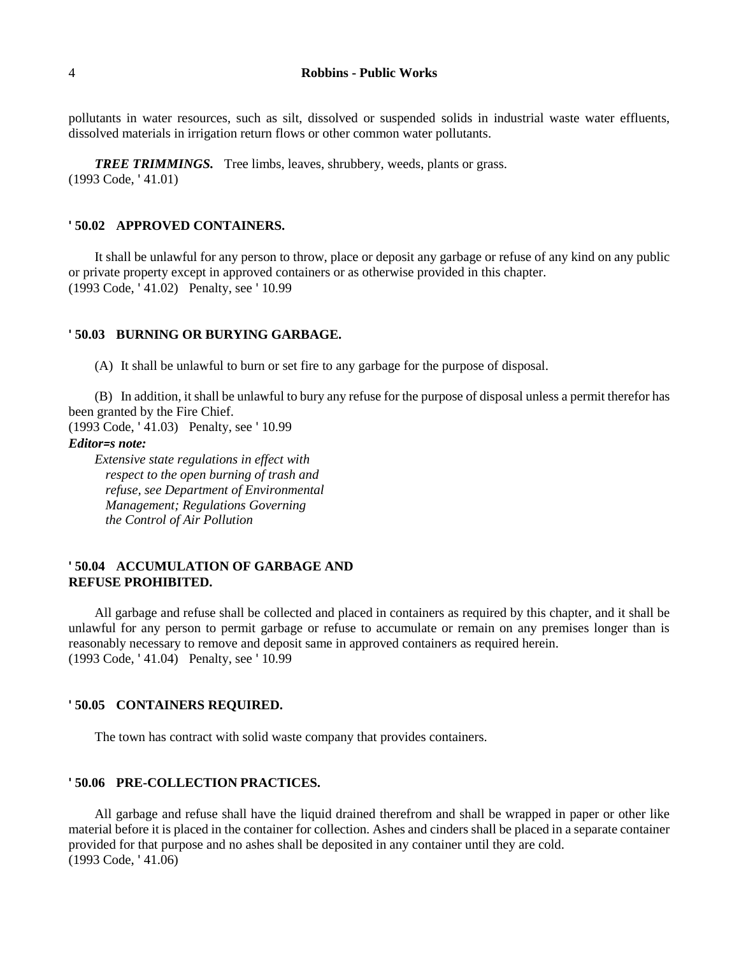pollutants in water resources, such as silt, dissolved or suspended solids in industrial waste water effluents, dissolved materials in irrigation return flows or other common water pollutants.

**TREE TRIMMINGS.** Tree limbs, leaves, shrubbery, weeds, plants or grass. (1993 Code, ' 41.01)

#### **' 50.02 APPROVED CONTAINERS.**

It shall be unlawful for any person to throw, place or deposit any garbage or refuse of any kind on any public or private property except in approved containers or as otherwise provided in this chapter. (1993 Code, ' 41.02) Penalty, see ' 10.99

#### **' 50.03 BURNING OR BURYING GARBAGE.**

(A) It shall be unlawful to burn or set fire to any garbage for the purpose of disposal.

(B) In addition, it shall be unlawful to bury any refuse for the purpose of disposal unless a permit therefor has been granted by the Fire Chief.

(1993 Code, ' 41.03) Penalty, see ' 10.99

## *Editor=s note:*

*Extensive state regulations in effect with respect to the open burning of trash and refuse, see Department of Environmental Management; Regulations Governing the Control of Air Pollution*

### **' 50.04 ACCUMULATION OF GARBAGE AND REFUSE PROHIBITED.**

All garbage and refuse shall be collected and placed in containers as required by this chapter, and it shall be unlawful for any person to permit garbage or refuse to accumulate or remain on any premises longer than is reasonably necessary to remove and deposit same in approved containers as required herein. (1993 Code, ' 41.04) Penalty, see ' 10.99

#### **' 50.05 CONTAINERS REQUIRED.**

The town has contract with solid waste company that provides containers.

#### **' 50.06 PRE-COLLECTION PRACTICES.**

All garbage and refuse shall have the liquid drained therefrom and shall be wrapped in paper or other like material before it is placed in the container for collection. Ashes and cinders shall be placed in a separate container provided for that purpose and no ashes shall be deposited in any container until they are cold. (1993 Code, ' 41.06)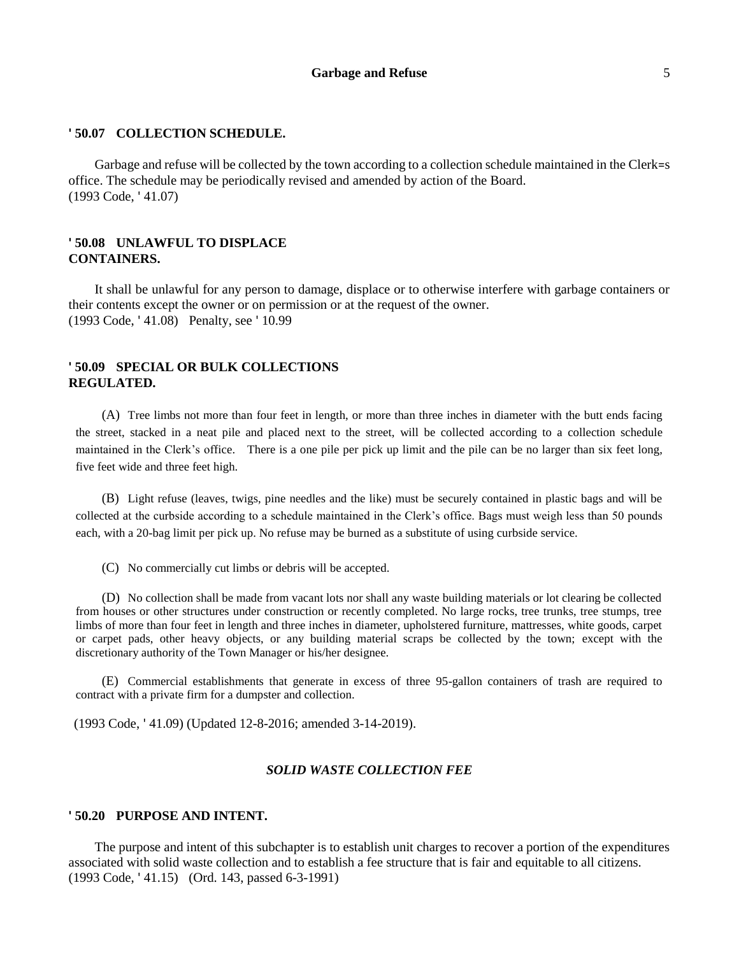#### **' 50.07 COLLECTION SCHEDULE.**

Garbage and refuse will be collected by the town according to a collection schedule maintained in the Clerk=s office. The schedule may be periodically revised and amended by action of the Board. (1993 Code, ' 41.07)

#### **' 50.08 UNLAWFUL TO DISPLACE CONTAINERS.**

It shall be unlawful for any person to damage, displace or to otherwise interfere with garbage containers or their contents except the owner or on permission or at the request of the owner. (1993 Code, ' 41.08) Penalty, see ' 10.99

## **' 50.09 SPECIAL OR BULK COLLECTIONS REGULATED.**

(A) Tree limbs not more than four feet in length, or more than three inches in diameter with the butt ends facing the street, stacked in a neat pile and placed next to the street, will be collected according to a collection schedule maintained in the Clerk's office. There is a one pile per pick up limit and the pile can be no larger than six feet long, five feet wide and three feet high.

(B) Light refuse (leaves, twigs, pine needles and the like) must be securely contained in plastic bags and will be collected at the curbside according to a schedule maintained in the Clerk's office. Bags must weigh less than 50 pounds each, with a 20-bag limit per pick up. No refuse may be burned as a substitute of using curbside service.

(C) No commercially cut limbs or debris will be accepted.

(D) No collection shall be made from vacant lots nor shall any waste building materials or lot clearing be collected from houses or other structures under construction or recently completed. No large rocks, tree trunks, tree stumps, tree limbs of more than four feet in length and three inches in diameter, upholstered furniture, mattresses, white goods, carpet or carpet pads, other heavy objects, or any building material scraps be collected by the town; except with the discretionary authority of the Town Manager or his/her designee.

(E) Commercial establishments that generate in excess of three 95-gallon containers of trash are required to contract with a private firm for a dumpster and collection.

(1993 Code, ' 41.09) (Updated 12-8-2016; amended 3-14-2019).

#### *SOLID WASTE COLLECTION FEE*

#### **' 50.20 PURPOSE AND INTENT.**

The purpose and intent of this subchapter is to establish unit charges to recover a portion of the expenditures associated with solid waste collection and to establish a fee structure that is fair and equitable to all citizens. (1993 Code, ' 41.15) (Ord. 143, passed 6-3-1991)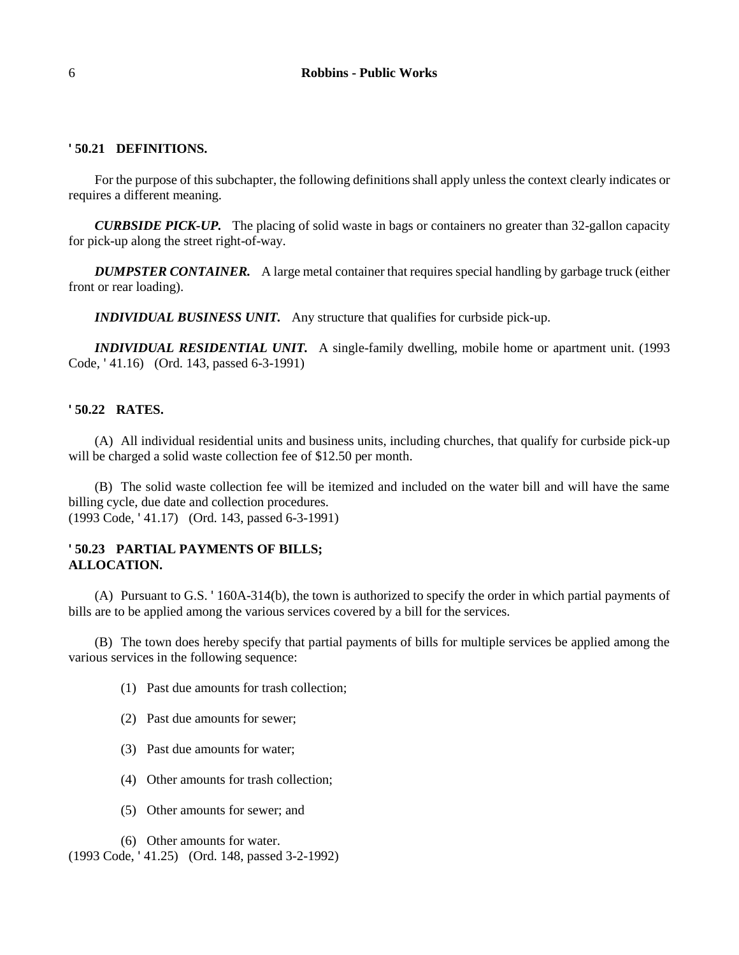## **' 50.21 DEFINITIONS.**

For the purpose of this subchapter, the following definitions shall apply unless the context clearly indicates or requires a different meaning.

*CURBSIDE PICK-UP.* The placing of solid waste in bags or containers no greater than 32-gallon capacity for pick-up along the street right-of-way.

*DUMPSTER CONTAINER.* A large metal container that requires special handling by garbage truck (either front or rear loading).

*INDIVIDUAL BUSINESS UNIT.* Any structure that qualifies for curbside pick-up.

*INDIVIDUAL RESIDENTIAL UNIT.* A single-family dwelling, mobile home or apartment unit. (1993) Code, ' 41.16) (Ord. 143, passed 6-3-1991)

#### **' 50.22 RATES.**

(A) All individual residential units and business units, including churches, that qualify for curbside pick-up will be charged a solid waste collection fee of \$12.50 per month.

(B) The solid waste collection fee will be itemized and included on the water bill and will have the same billing cycle, due date and collection procedures. (1993 Code, ' 41.17) (Ord. 143, passed 6-3-1991)

## **' 50.23 PARTIAL PAYMENTS OF BILLS; ALLOCATION.**

(A) Pursuant to G.S. ' 160A-314(b), the town is authorized to specify the order in which partial payments of bills are to be applied among the various services covered by a bill for the services.

(B) The town does hereby specify that partial payments of bills for multiple services be applied among the various services in the following sequence:

- (1) Past due amounts for trash collection;
- (2) Past due amounts for sewer;
- (3) Past due amounts for water;
- (4) Other amounts for trash collection;
- (5) Other amounts for sewer; and

(6) Other amounts for water.

(1993 Code, ' 41.25) (Ord. 148, passed 3-2-1992)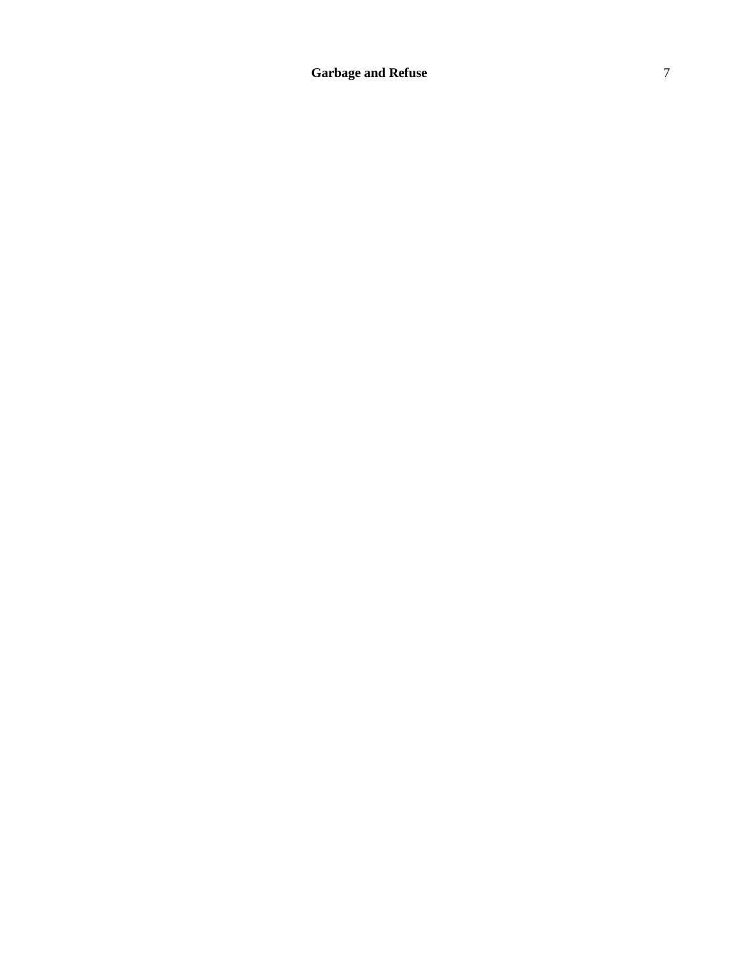**Garbage and Refuse** 7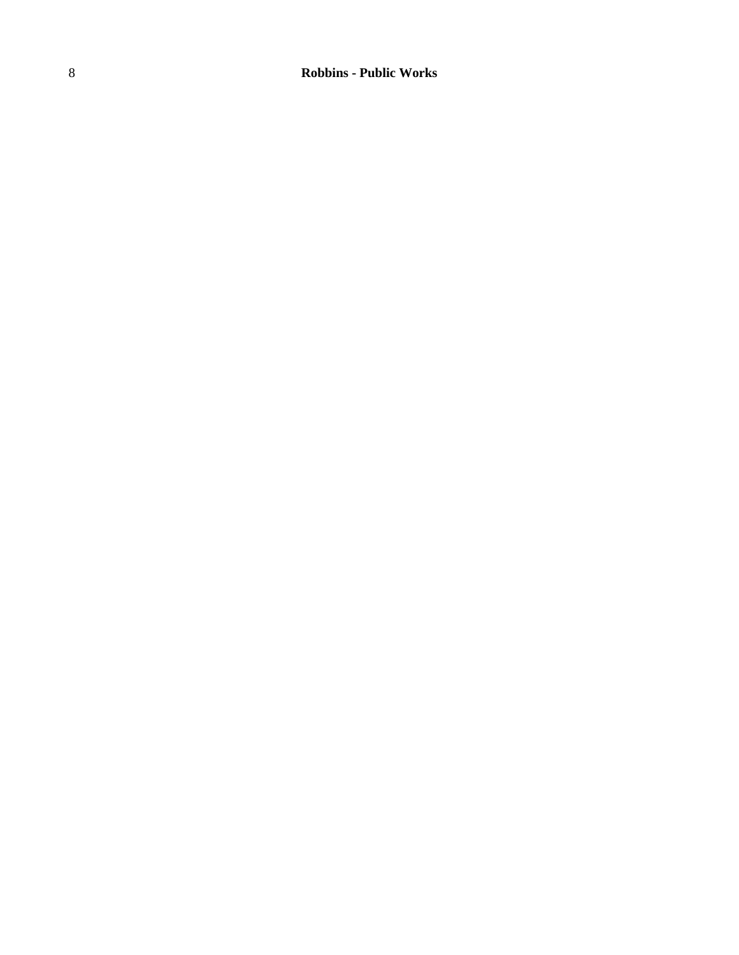**Robbins - Public Works**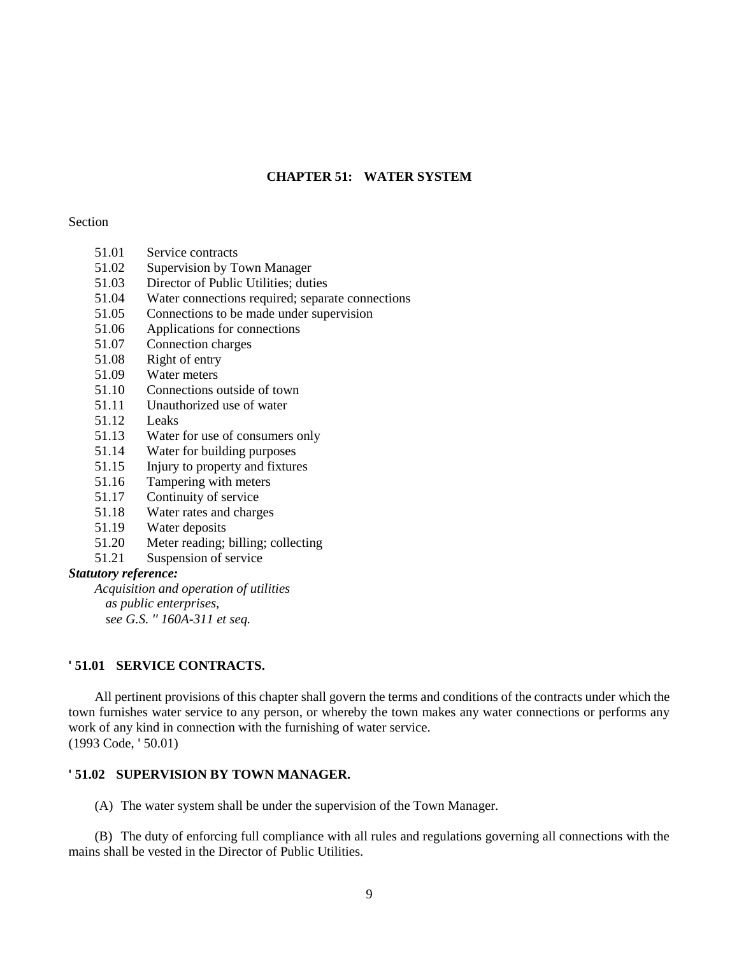## **CHAPTER 51: WATER SYSTEM**

### Section

- 51.01 Service contracts
- 51.02 Supervision by Town Manager
- 51.03 Director of Public Utilities; duties
- 51.04 Water connections required; separate connections
- 51.05 Connections to be made under supervision
- 51.06 Applications for connections
- 51.07 Connection charges
- 51.08 Right of entry
- 51.09 Water meters
- 51.10 Connections outside of town
- 51.11 Unauthorized use of water
- 51.12 Leaks
- 51.13 Water for use of consumers only
- 51.14 Water for building purposes
- 51.15 Injury to property and fixtures
- 51.16 Tampering with meters
- 51.17 Continuity of service
- 51.18 Water rates and charges
- 51.19 Water deposits
- 51.20 Meter reading; billing; collecting
- 51.21 Suspension of service

### *Statutory reference:*

*Acquisition and operation of utilities as public enterprises, see G.S. '' 160A-311 et seq.*

## **' 51.01 SERVICE CONTRACTS.**

All pertinent provisions of this chapter shall govern the terms and conditions of the contracts under which the town furnishes water service to any person, or whereby the town makes any water connections or performs any work of any kind in connection with the furnishing of water service. (1993 Code, ' 50.01)

## **' 51.02 SUPERVISION BY TOWN MANAGER.**

(A) The water system shall be under the supervision of the Town Manager.

(B) The duty of enforcing full compliance with all rules and regulations governing all connections with the mains shall be vested in the Director of Public Utilities.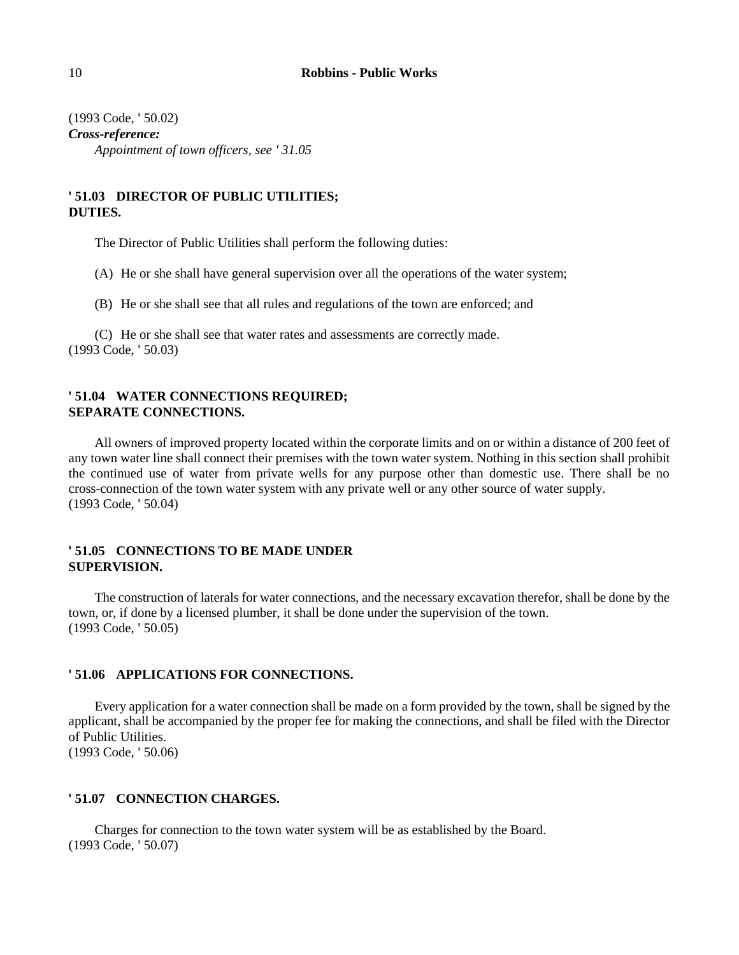(1993 Code, ' 50.02) *Cross-reference: Appointment of town officers, see ' 31.05*

## **' 51.03 DIRECTOR OF PUBLIC UTILITIES; DUTIES.**

The Director of Public Utilities shall perform the following duties:

(A) He or she shall have general supervision over all the operations of the water system;

(B) He or she shall see that all rules and regulations of the town are enforced; and

(C) He or she shall see that water rates and assessments are correctly made. (1993 Code, ' 50.03)

## **' 51.04 WATER CONNECTIONS REQUIRED; SEPARATE CONNECTIONS.**

All owners of improved property located within the corporate limits and on or within a distance of 200 feet of any town water line shall connect their premises with the town water system. Nothing in this section shall prohibit the continued use of water from private wells for any purpose other than domestic use. There shall be no cross-connection of the town water system with any private well or any other source of water supply. (1993 Code, ' 50.04)

## **' 51.05 CONNECTIONS TO BE MADE UNDER SUPERVISION.**

The construction of laterals for water connections, and the necessary excavation therefor, shall be done by the town, or, if done by a licensed plumber, it shall be done under the supervision of the town. (1993 Code, ' 50.05)

### **' 51.06 APPLICATIONS FOR CONNECTIONS.**

Every application for a water connection shall be made on a form provided by the town, shall be signed by the applicant, shall be accompanied by the proper fee for making the connections, and shall be filed with the Director of Public Utilities.

(1993 Code, ' 50.06)

### **' 51.07 CONNECTION CHARGES.**

Charges for connection to the town water system will be as established by the Board. (1993 Code, ' 50.07)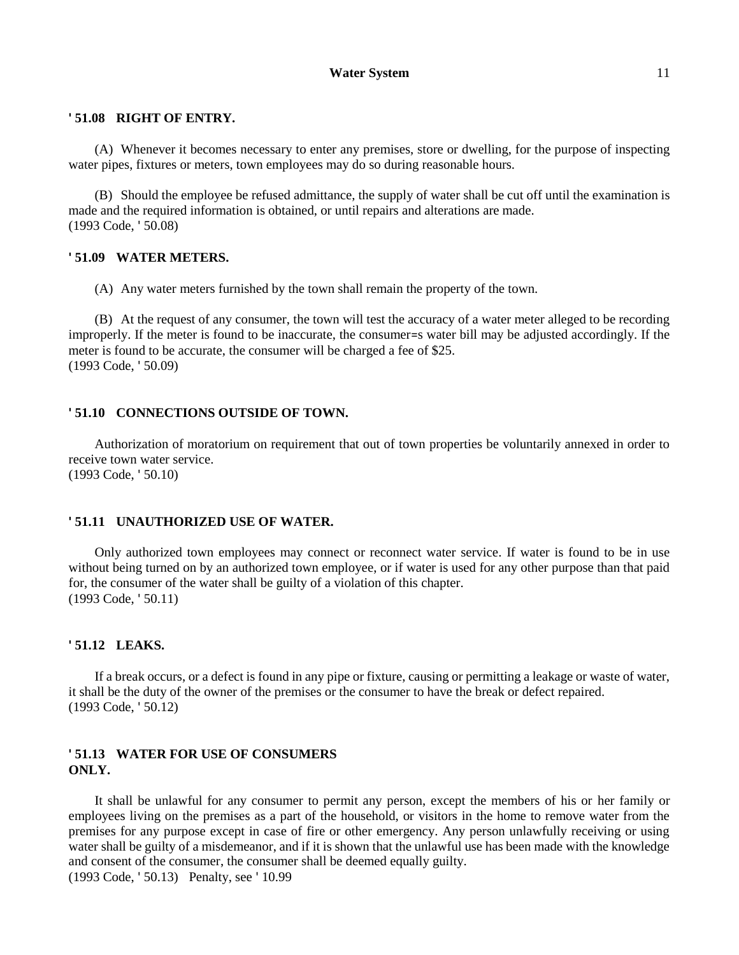#### **' 51.08 RIGHT OF ENTRY.**

(A) Whenever it becomes necessary to enter any premises, store or dwelling, for the purpose of inspecting water pipes, fixtures or meters, town employees may do so during reasonable hours.

(B) Should the employee be refused admittance, the supply of water shall be cut off until the examination is made and the required information is obtained, or until repairs and alterations are made. (1993 Code, ' 50.08)

#### **' 51.09 WATER METERS.**

(A) Any water meters furnished by the town shall remain the property of the town.

(B) At the request of any consumer, the town will test the accuracy of a water meter alleged to be recording improperly. If the meter is found to be inaccurate, the consumer=s water bill may be adjusted accordingly. If the meter is found to be accurate, the consumer will be charged a fee of \$25. (1993 Code, ' 50.09)

#### **' 51.10 CONNECTIONS OUTSIDE OF TOWN.**

Authorization of moratorium on requirement that out of town properties be voluntarily annexed in order to receive town water service. (1993 Code, ' 50.10)

#### **' 51.11 UNAUTHORIZED USE OF WATER.**

Only authorized town employees may connect or reconnect water service. If water is found to be in use without being turned on by an authorized town employee, or if water is used for any other purpose than that paid for, the consumer of the water shall be guilty of a violation of this chapter. (1993 Code, ' 50.11)

#### **' 51.12 LEAKS.**

If a break occurs, or a defect is found in any pipe or fixture, causing or permitting a leakage or waste of water, it shall be the duty of the owner of the premises or the consumer to have the break or defect repaired. (1993 Code, ' 50.12)

## **' 51.13 WATER FOR USE OF CONSUMERS ONLY.**

It shall be unlawful for any consumer to permit any person, except the members of his or her family or employees living on the premises as a part of the household, or visitors in the home to remove water from the premises for any purpose except in case of fire or other emergency. Any person unlawfully receiving or using water shall be guilty of a misdemeanor, and if it is shown that the unlawful use has been made with the knowledge and consent of the consumer, the consumer shall be deemed equally guilty.

(1993 Code, ' 50.13) Penalty, see ' 10.99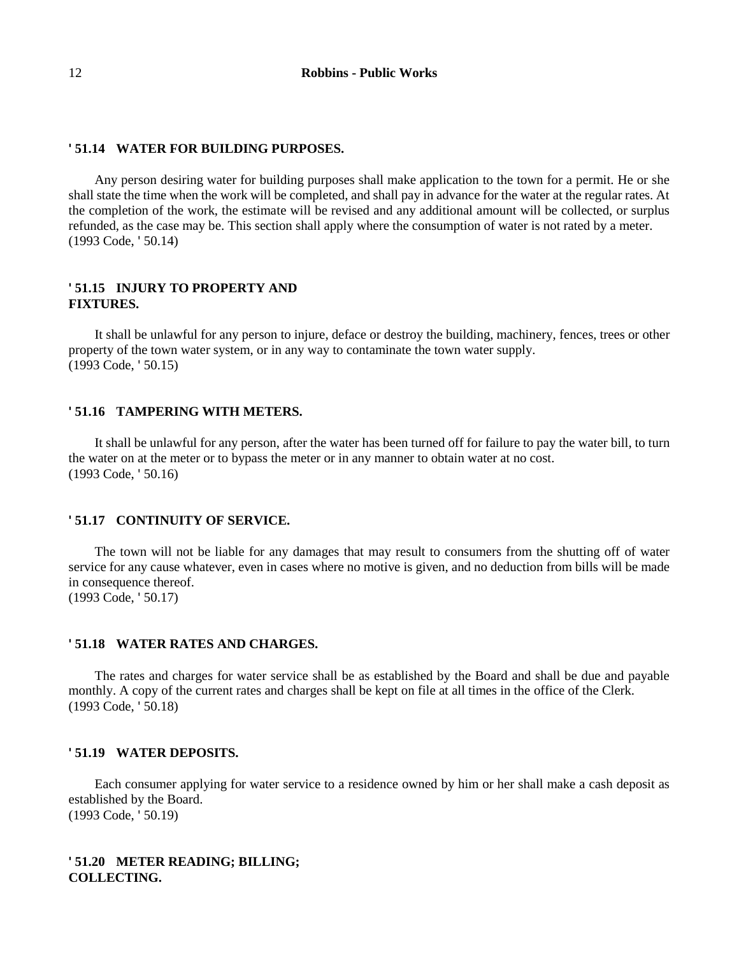#### **' 51.14 WATER FOR BUILDING PURPOSES.**

Any person desiring water for building purposes shall make application to the town for a permit. He or she shall state the time when the work will be completed, and shall pay in advance for the water at the regular rates. At the completion of the work, the estimate will be revised and any additional amount will be collected, or surplus refunded, as the case may be. This section shall apply where the consumption of water is not rated by a meter. (1993 Code, ' 50.14)

## **' 51.15 INJURY TO PROPERTY AND FIXTURES.**

It shall be unlawful for any person to injure, deface or destroy the building, machinery, fences, trees or other property of the town water system, or in any way to contaminate the town water supply. (1993 Code, ' 50.15)

#### **' 51.16 TAMPERING WITH METERS.**

It shall be unlawful for any person, after the water has been turned off for failure to pay the water bill, to turn the water on at the meter or to bypass the meter or in any manner to obtain water at no cost. (1993 Code, ' 50.16)

#### **' 51.17 CONTINUITY OF SERVICE.**

The town will not be liable for any damages that may result to consumers from the shutting off of water service for any cause whatever, even in cases where no motive is given, and no deduction from bills will be made in consequence thereof.

(1993 Code, ' 50.17)

#### **' 51.18 WATER RATES AND CHARGES.**

The rates and charges for water service shall be as established by the Board and shall be due and payable monthly. A copy of the current rates and charges shall be kept on file at all times in the office of the Clerk. (1993 Code, ' 50.18)

#### **' 51.19 WATER DEPOSITS.**

Each consumer applying for water service to a residence owned by him or her shall make a cash deposit as established by the Board. (1993 Code, ' 50.19)

### **' 51.20 METER READING; BILLING; COLLECTING.**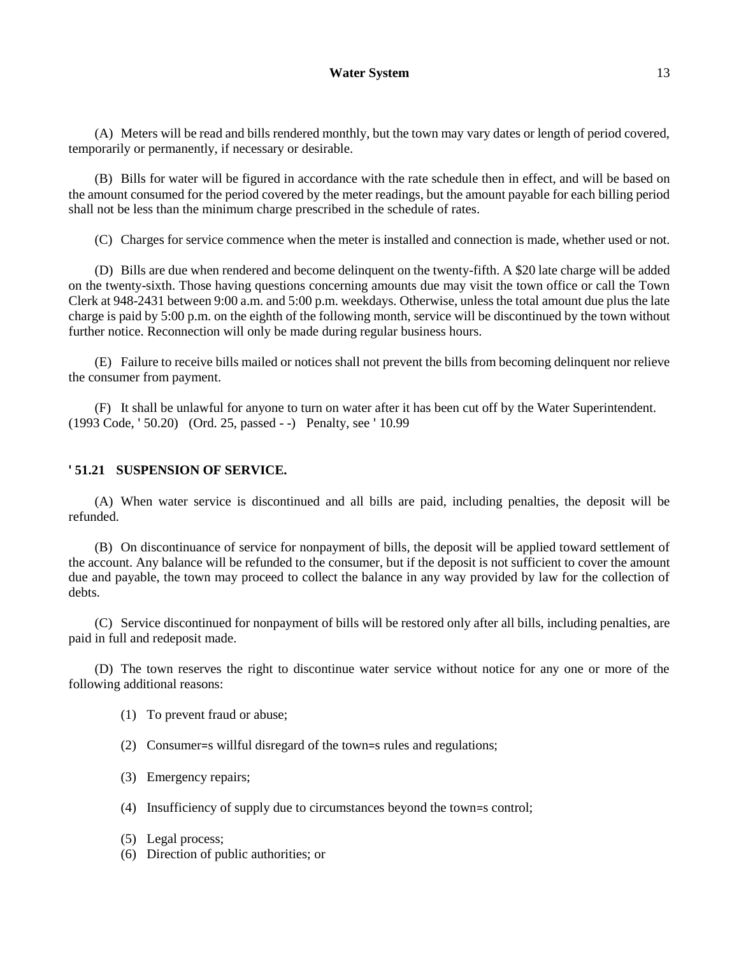## Water System 13

(A) Meters will be read and bills rendered monthly, but the town may vary dates or length of period covered, temporarily or permanently, if necessary or desirable.

(B) Bills for water will be figured in accordance with the rate schedule then in effect, and will be based on the amount consumed for the period covered by the meter readings, but the amount payable for each billing period shall not be less than the minimum charge prescribed in the schedule of rates.

(C) Charges for service commence when the meter is installed and connection is made, whether used or not.

(D) Bills are due when rendered and become delinquent on the twenty-fifth. A \$20 late charge will be added on the twenty-sixth. Those having questions concerning amounts due may visit the town office or call the Town Clerk at 948-2431 between 9:00 a.m. and 5:00 p.m. weekdays. Otherwise, unless the total amount due plus the late charge is paid by 5:00 p.m. on the eighth of the following month, service will be discontinued by the town without further notice. Reconnection will only be made during regular business hours.

(E) Failure to receive bills mailed or notices shall not prevent the bills from becoming delinquent nor relieve the consumer from payment.

(F) It shall be unlawful for anyone to turn on water after it has been cut off by the Water Superintendent. (1993 Code, ' 50.20) (Ord. 25, passed - -) Penalty, see ' 10.99

## **' 51.21 SUSPENSION OF SERVICE.**

(A) When water service is discontinued and all bills are paid, including penalties, the deposit will be refunded.

(B) On discontinuance of service for nonpayment of bills, the deposit will be applied toward settlement of the account. Any balance will be refunded to the consumer, but if the deposit is not sufficient to cover the amount due and payable, the town may proceed to collect the balance in any way provided by law for the collection of debts.

(C) Service discontinued for nonpayment of bills will be restored only after all bills, including penalties, are paid in full and redeposit made.

(D) The town reserves the right to discontinue water service without notice for any one or more of the following additional reasons:

- (1) To prevent fraud or abuse;
- (2) Consumer=s willful disregard of the town=s rules and regulations;
- (3) Emergency repairs;
- (4) Insufficiency of supply due to circumstances beyond the town=s control;
- (5) Legal process;
- (6) Direction of public authorities; or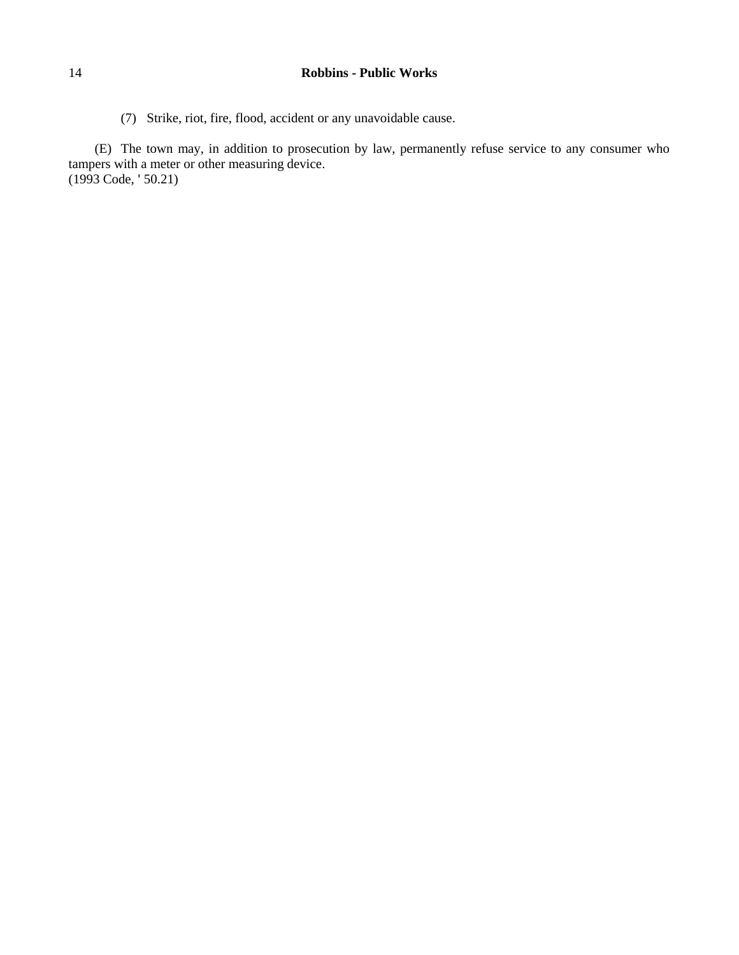# 14 **Robbins - Public Works**

(7) Strike, riot, fire, flood, accident or any unavoidable cause.

(E) The town may, in addition to prosecution by law, permanently refuse service to any consumer who tampers with a meter or other measuring device. (1993 Code, ' 50.21)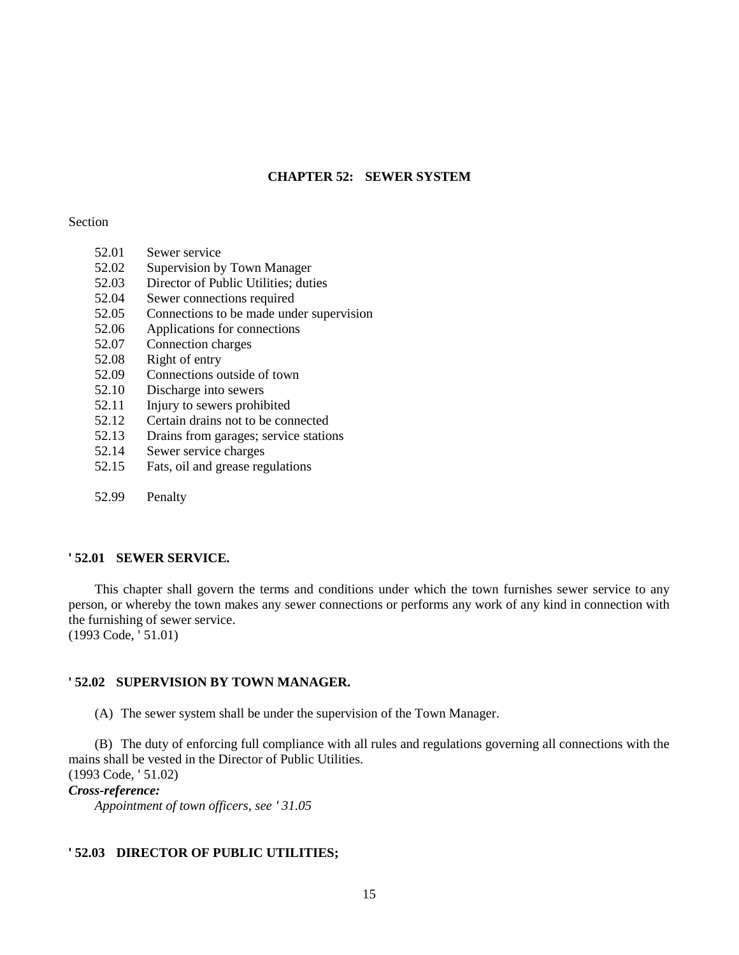## **CHAPTER 52: SEWER SYSTEM**

## Section

- 52.01 Sewer service
- 52.02 Supervision by Town Manager
- 52.03 Director of Public Utilities; duties
- 52.04 Sewer connections required
- 52.05 Connections to be made under supervision
- 52.06 Applications for connections
- 52.07 Connection charges
- 52.08 Right of entry
- 52.09 Connections outside of town
- 52.10 Discharge into sewers
- 52.11 Injury to sewers prohibited
- 52.12 Certain drains not to be connected
- 52.13 Drains from garages; service stations
- 52.14 Sewer service charges
- 52.15 Fats, oil and grease regulations
- 52.99 Penalty

#### **' 52.01 SEWER SERVICE.**

This chapter shall govern the terms and conditions under which the town furnishes sewer service to any person, or whereby the town makes any sewer connections or performs any work of any kind in connection with the furnishing of sewer service.

(1993 Code, ' 51.01)

#### **' 52.02 SUPERVISION BY TOWN MANAGER.**

(A) The sewer system shall be under the supervision of the Town Manager.

(B) The duty of enforcing full compliance with all rules and regulations governing all connections with the mains shall be vested in the Director of Public Utilities. (1993 Code, ' 51.02)

## *Cross-reference:*

*Appointment of town officers, see ' 31.05*

### **' 52.03 DIRECTOR OF PUBLIC UTILITIES;**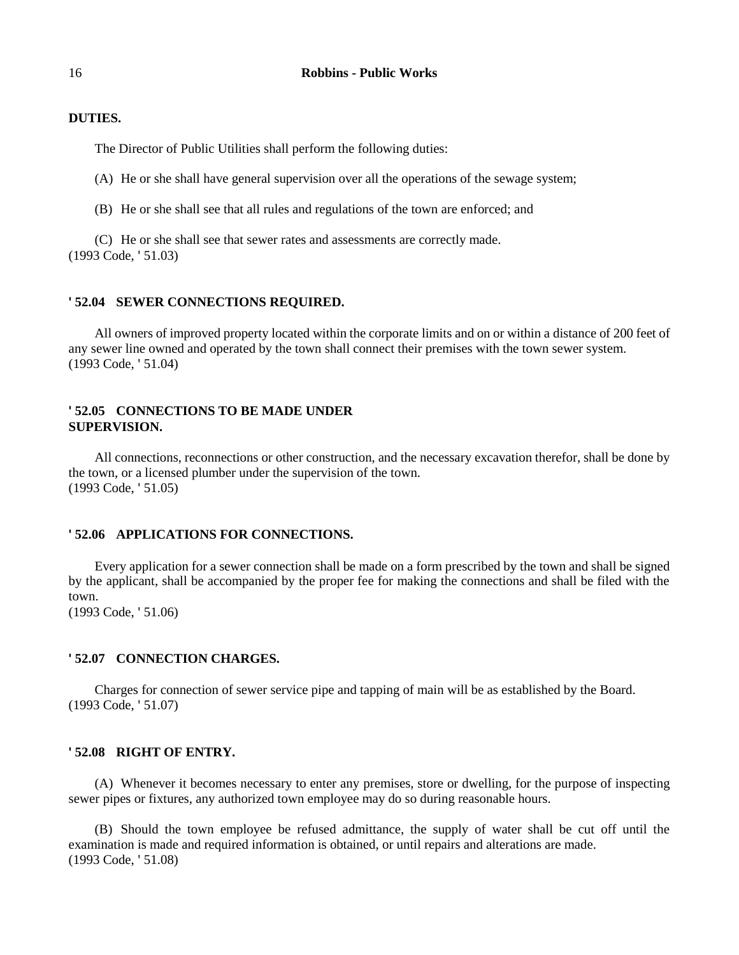## **DUTIES.**

The Director of Public Utilities shall perform the following duties:

(A) He or she shall have general supervision over all the operations of the sewage system;

(B) He or she shall see that all rules and regulations of the town are enforced; and

(C) He or she shall see that sewer rates and assessments are correctly made. (1993 Code, ' 51.03)

## **' 52.04 SEWER CONNECTIONS REQUIRED.**

All owners of improved property located within the corporate limits and on or within a distance of 200 feet of any sewer line owned and operated by the town shall connect their premises with the town sewer system. (1993 Code, ' 51.04)

## **' 52.05 CONNECTIONS TO BE MADE UNDER SUPERVISION.**

All connections, reconnections or other construction, and the necessary excavation therefor, shall be done by the town, or a licensed plumber under the supervision of the town. (1993 Code, ' 51.05)

## **' 52.06 APPLICATIONS FOR CONNECTIONS.**

Every application for a sewer connection shall be made on a form prescribed by the town and shall be signed by the applicant, shall be accompanied by the proper fee for making the connections and shall be filed with the town.

(1993 Code, ' 51.06)

## **' 52.07 CONNECTION CHARGES.**

Charges for connection of sewer service pipe and tapping of main will be as established by the Board. (1993 Code, ' 51.07)

### **' 52.08 RIGHT OF ENTRY.**

(A) Whenever it becomes necessary to enter any premises, store or dwelling, for the purpose of inspecting sewer pipes or fixtures, any authorized town employee may do so during reasonable hours.

(B) Should the town employee be refused admittance, the supply of water shall be cut off until the examination is made and required information is obtained, or until repairs and alterations are made. (1993 Code, ' 51.08)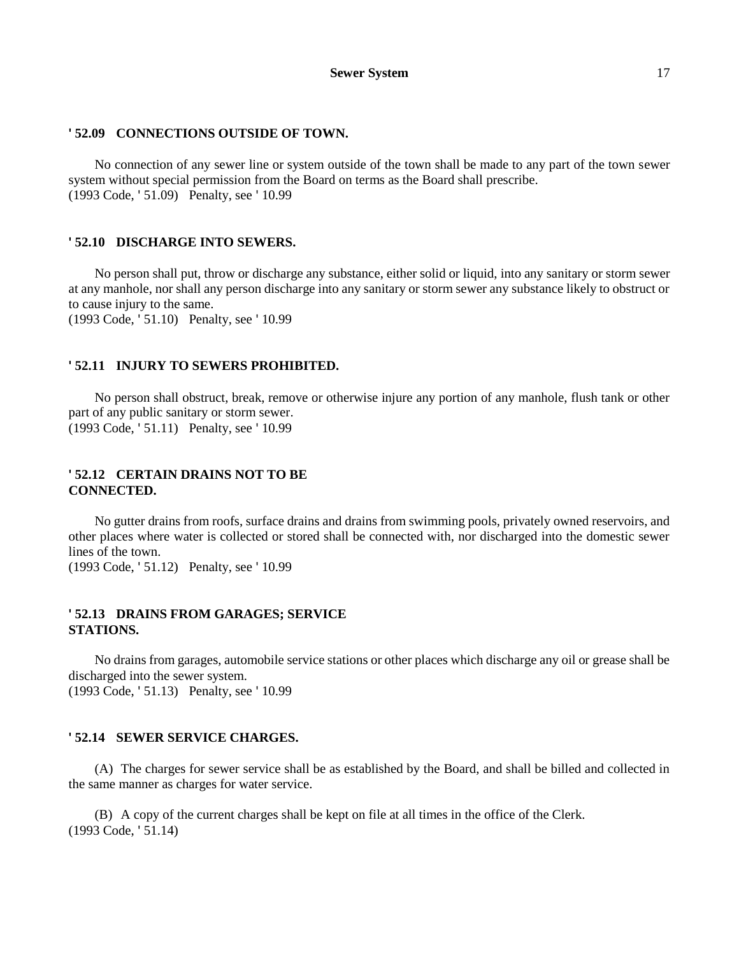#### **' 52.09 CONNECTIONS OUTSIDE OF TOWN.**

No connection of any sewer line or system outside of the town shall be made to any part of the town sewer system without special permission from the Board on terms as the Board shall prescribe. (1993 Code, ' 51.09) Penalty, see ' 10.99

#### **' 52.10 DISCHARGE INTO SEWERS.**

No person shall put, throw or discharge any substance, either solid or liquid, into any sanitary or storm sewer at any manhole, nor shall any person discharge into any sanitary or storm sewer any substance likely to obstruct or to cause injury to the same.

(1993 Code, ' 51.10) Penalty, see ' 10.99

#### **' 52.11 INJURY TO SEWERS PROHIBITED.**

No person shall obstruct, break, remove or otherwise injure any portion of any manhole, flush tank or other part of any public sanitary or storm sewer. (1993 Code, ' 51.11) Penalty, see ' 10.99

## **' 52.12 CERTAIN DRAINS NOT TO BE CONNECTED.**

No gutter drains from roofs, surface drains and drains from swimming pools, privately owned reservoirs, and other places where water is collected or stored shall be connected with, nor discharged into the domestic sewer lines of the town.

(1993 Code, ' 51.12) Penalty, see ' 10.99

## **' 52.13 DRAINS FROM GARAGES; SERVICE STATIONS.**

No drains from garages, automobile service stations or other places which discharge any oil or grease shall be discharged into the sewer system. (1993 Code, ' 51.13) Penalty, see ' 10.99

#### **' 52.14 SEWER SERVICE CHARGES.**

(A) The charges for sewer service shall be as established by the Board, and shall be billed and collected in the same manner as charges for water service.

(B) A copy of the current charges shall be kept on file at all times in the office of the Clerk. (1993 Code, ' 51.14)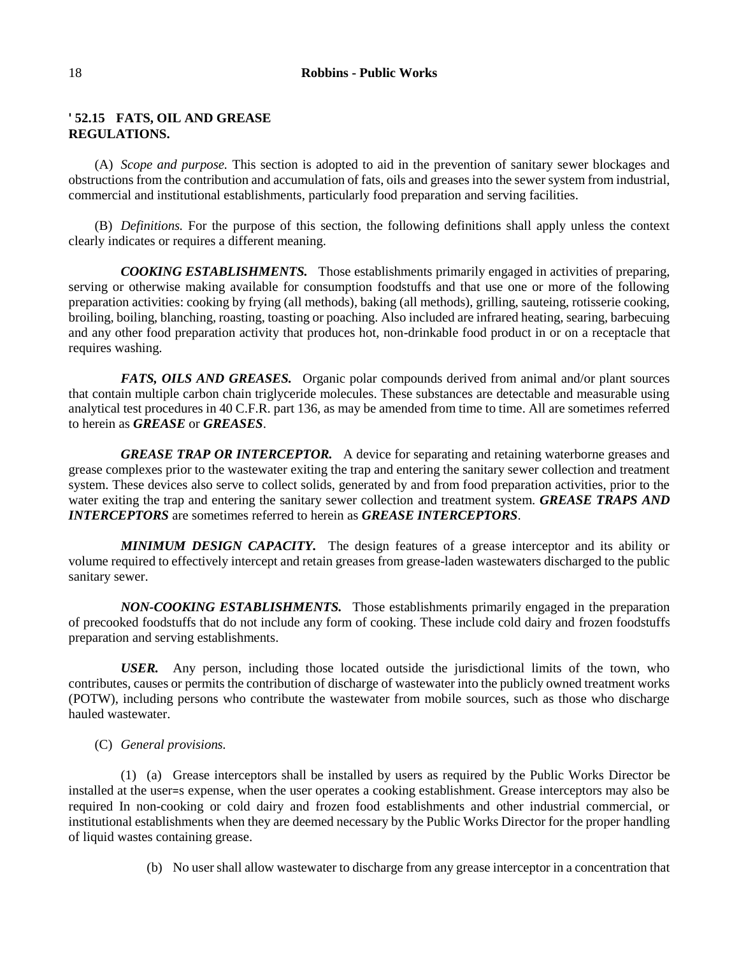## **' 52.15 FATS, OIL AND GREASE REGULATIONS.**

(A) *Scope and purpose.* This section is adopted to aid in the prevention of sanitary sewer blockages and obstructions from the contribution and accumulation of fats, oils and greases into the sewer system from industrial, commercial and institutional establishments, particularly food preparation and serving facilities.

(B) *Definitions.* For the purpose of this section, the following definitions shall apply unless the context clearly indicates or requires a different meaning.

*COOKING ESTABLISHMENTS.* Those establishments primarily engaged in activities of preparing, serving or otherwise making available for consumption foodstuffs and that use one or more of the following preparation activities: cooking by frying (all methods), baking (all methods), grilling, sauteing, rotisserie cooking, broiling, boiling, blanching, roasting, toasting or poaching. Also included are infrared heating, searing, barbecuing and any other food preparation activity that produces hot, non-drinkable food product in or on a receptacle that requires washing.

*FATS, OILS AND GREASES.* Organic polar compounds derived from animal and/or plant sources that contain multiple carbon chain triglyceride molecules. These substances are detectable and measurable using analytical test procedures in 40 C.F.R. part 136, as may be amended from time to time. All are sometimes referred to herein as *GREASE* or *GREASES*.

*GREASE TRAP OR INTERCEPTOR.* A device for separating and retaining waterborne greases and grease complexes prior to the wastewater exiting the trap and entering the sanitary sewer collection and treatment system. These devices also serve to collect solids, generated by and from food preparation activities, prior to the water exiting the trap and entering the sanitary sewer collection and treatment system. *GREASE TRAPS AND INTERCEPTORS* are sometimes referred to herein as *GREASE INTERCEPTORS*.

*MINIMUM DESIGN CAPACITY.* The design features of a grease interceptor and its ability or volume required to effectively intercept and retain greases from grease-laden wastewaters discharged to the public sanitary sewer.

*NON-COOKING ESTABLISHMENTS.* Those establishments primarily engaged in the preparation of precooked foodstuffs that do not include any form of cooking. These include cold dairy and frozen foodstuffs preparation and serving establishments.

*USER.* Any person, including those located outside the jurisdictional limits of the town, who contributes, causes or permits the contribution of discharge of wastewater into the publicly owned treatment works (POTW), including persons who contribute the wastewater from mobile sources, such as those who discharge hauled wastewater.

## (C) *General provisions.*

(1) (a) Grease interceptors shall be installed by users as required by the Public Works Director be installed at the user=s expense, when the user operates a cooking establishment. Grease interceptors may also be required In non-cooking or cold dairy and frozen food establishments and other industrial commercial, or institutional establishments when they are deemed necessary by the Public Works Director for the proper handling of liquid wastes containing grease.

(b) No user shall allow wastewater to discharge from any grease interceptor in a concentration that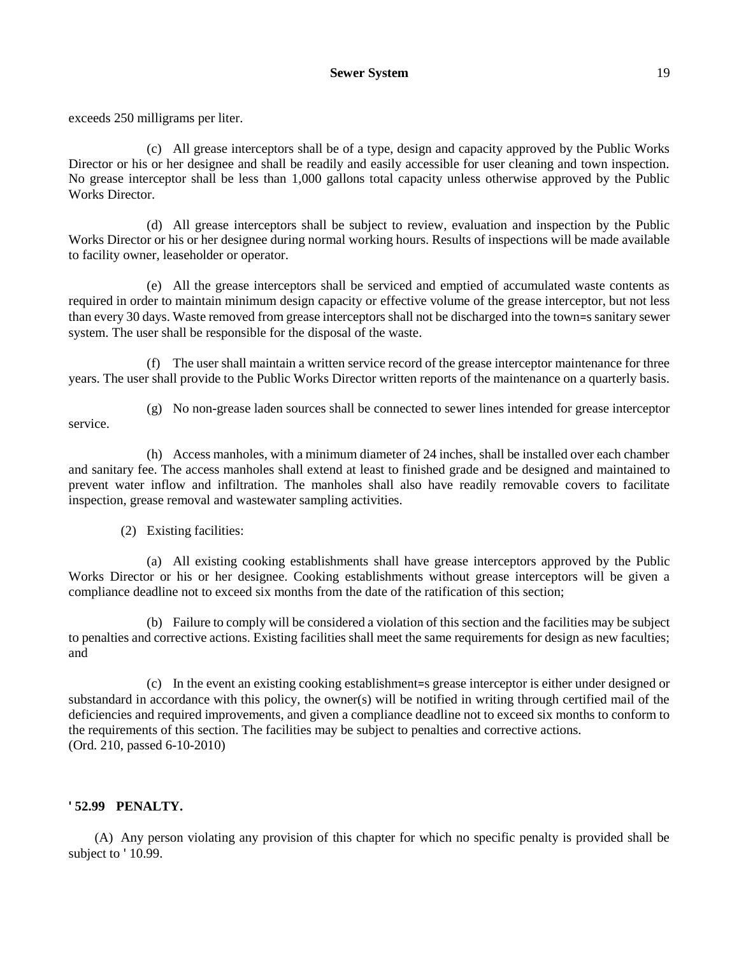### **Sewer System** 19

exceeds 250 milligrams per liter.

(c) All grease interceptors shall be of a type, design and capacity approved by the Public Works Director or his or her designee and shall be readily and easily accessible for user cleaning and town inspection. No grease interceptor shall be less than 1,000 gallons total capacity unless otherwise approved by the Public Works Director.

(d) All grease interceptors shall be subject to review, evaluation and inspection by the Public Works Director or his or her designee during normal working hours. Results of inspections will be made available to facility owner, leaseholder or operator.

(e) All the grease interceptors shall be serviced and emptied of accumulated waste contents as required in order to maintain minimum design capacity or effective volume of the grease interceptor, but not less than every 30 days. Waste removed from grease interceptors shall not be discharged into the town=s sanitary sewer system. The user shall be responsible for the disposal of the waste.

(f) The user shall maintain a written service record of the grease interceptor maintenance for three years. The user shall provide to the Public Works Director written reports of the maintenance on a quarterly basis.

- service.
- (g) No non-grease laden sources shall be connected to sewer lines intended for grease interceptor

(h) Access manholes, with a minimum diameter of 24 inches, shall be installed over each chamber and sanitary fee. The access manholes shall extend at least to finished grade and be designed and maintained to prevent water inflow and infiltration. The manholes shall also have readily removable covers to facilitate inspection, grease removal and wastewater sampling activities.

(2) Existing facilities:

(a) All existing cooking establishments shall have grease interceptors approved by the Public Works Director or his or her designee. Cooking establishments without grease interceptors will be given a compliance deadline not to exceed six months from the date of the ratification of this section;

(b) Failure to comply will be considered a violation of this section and the facilities may be subject to penalties and corrective actions. Existing facilities shall meet the same requirements for design as new faculties; and

(c) In the event an existing cooking establishment=s grease interceptor is either under designed or substandard in accordance with this policy, the owner(s) will be notified in writing through certified mail of the deficiencies and required improvements, and given a compliance deadline not to exceed six months to conform to the requirements of this section. The facilities may be subject to penalties and corrective actions. (Ord. 210, passed 6-10-2010)

### **' 52.99 PENALTY.**

(A) Any person violating any provision of this chapter for which no specific penalty is provided shall be subject to '10.99.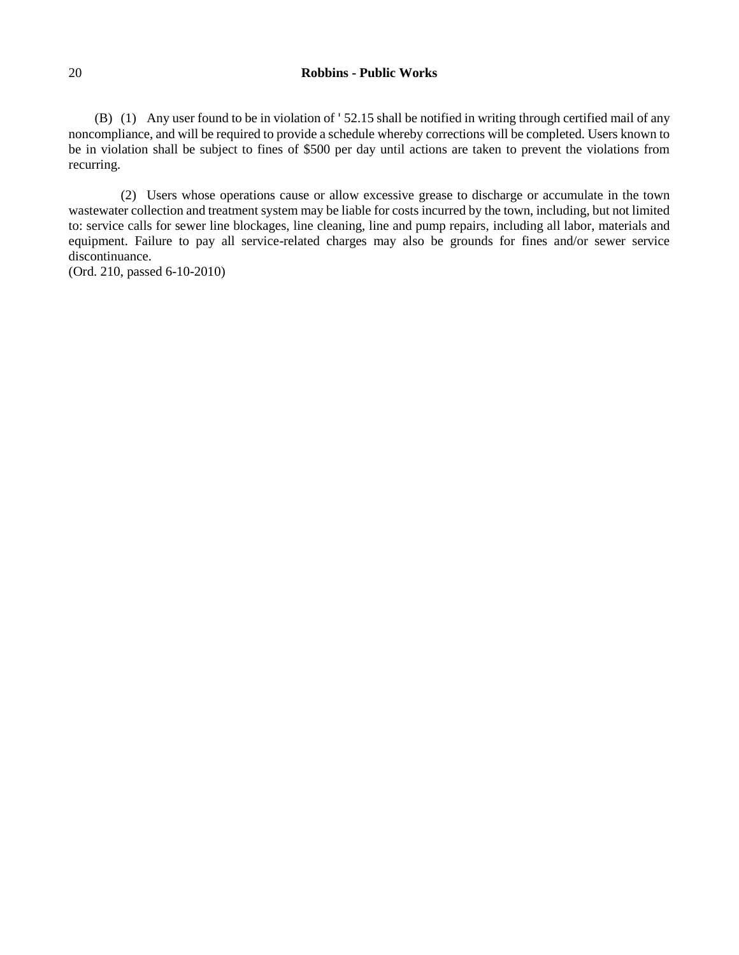## 20 **Robbins - Public Works**

(B) (1) Any user found to be in violation of ' 52.15 shall be notified in writing through certified mail of any noncompliance, and will be required to provide a schedule whereby corrections will be completed. Users known to be in violation shall be subject to fines of \$500 per day until actions are taken to prevent the violations from recurring.

(2) Users whose operations cause or allow excessive grease to discharge or accumulate in the town wastewater collection and treatment system may be liable for costs incurred by the town, including, but not limited to: service calls for sewer line blockages, line cleaning, line and pump repairs, including all labor, materials and equipment. Failure to pay all service-related charges may also be grounds for fines and/or sewer service discontinuance.

(Ord. 210, passed 6-10-2010)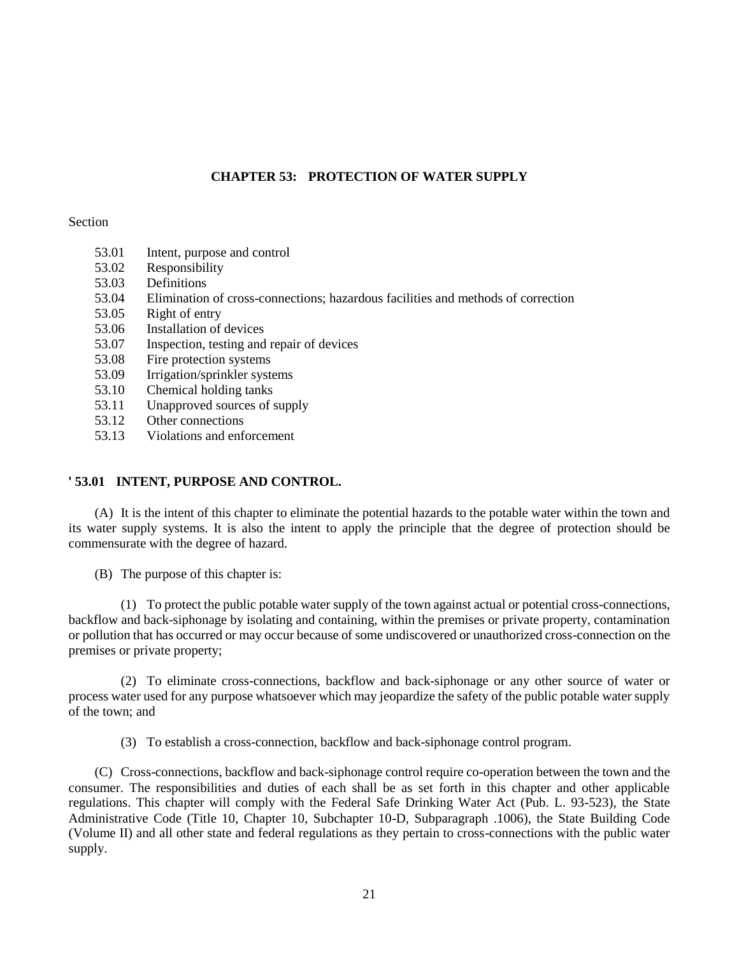## **CHAPTER 53: PROTECTION OF WATER SUPPLY**

## Section

- 53.01 Intent, purpose and control
- 53.02 Responsibility
- 53.03 Definitions
- 53.04 Elimination of cross-connections; hazardous facilities and methods of correction
- 53.05 Right of entry
- 53.06 Installation of devices
- 53.07 Inspection, testing and repair of devices
- 53.08 Fire protection systems
- 53.09 Irrigation/sprinkler systems
- 53.10 Chemical holding tanks
- 53.11 Unapproved sources of supply
- 53.12 Other connections
- 53.13 Violations and enforcement

## **' 53.01 INTENT, PURPOSE AND CONTROL.**

(A) It is the intent of this chapter to eliminate the potential hazards to the potable water within the town and its water supply systems. It is also the intent to apply the principle that the degree of protection should be commensurate with the degree of hazard.

(B) The purpose of this chapter is:

(1) To protect the public potable water supply of the town against actual or potential cross-connections, backflow and back-siphonage by isolating and containing, within the premises or private property, contamination or pollution that has occurred or may occur because of some undiscovered or unauthorized cross-connection on the premises or private property;

(2) To eliminate cross-connections, backflow and back-siphonage or any other source of water or process water used for any purpose whatsoever which may jeopardize the safety of the public potable water supply of the town; and

(3) To establish a cross-connection, backflow and back-siphonage control program.

(C) Cross-connections, backflow and back-siphonage control require co-operation between the town and the consumer. The responsibilities and duties of each shall be as set forth in this chapter and other applicable regulations. This chapter will comply with the Federal Safe Drinking Water Act (Pub. L. 93-523), the State Administrative Code (Title 10, Chapter 10, Subchapter 10-D, Subparagraph .1006), the State Building Code (Volume II) and all other state and federal regulations as they pertain to cross-connections with the public water supply.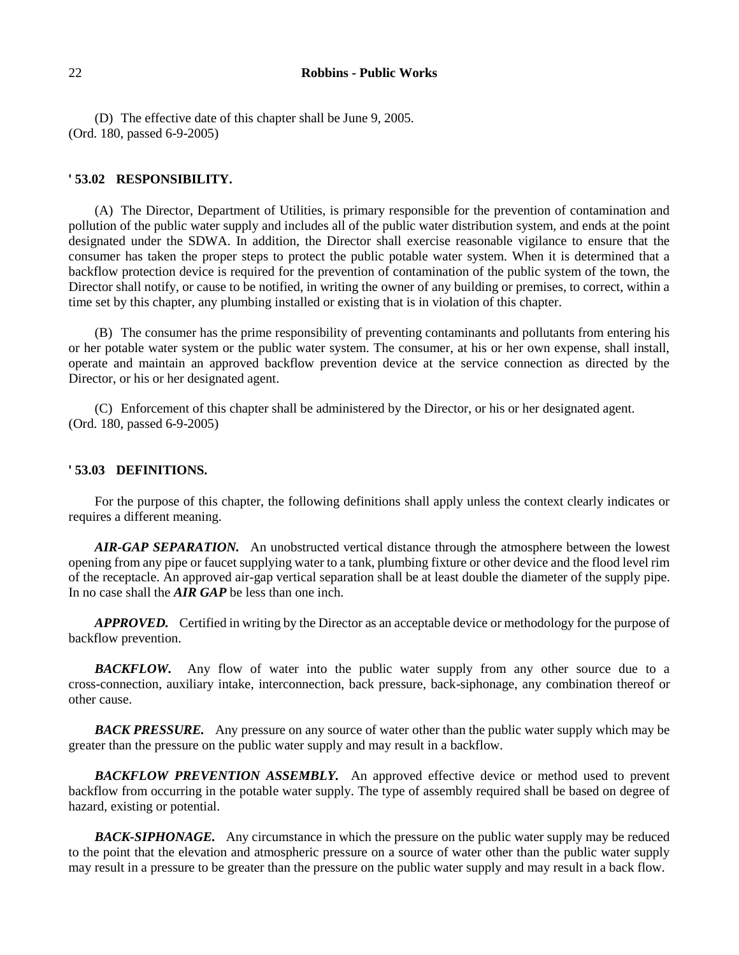(D) The effective date of this chapter shall be June 9, 2005. (Ord. 180, passed 6-9-2005)

#### **' 53.02 RESPONSIBILITY.**

(A) The Director, Department of Utilities, is primary responsible for the prevention of contamination and pollution of the public water supply and includes all of the public water distribution system, and ends at the point designated under the SDWA. In addition, the Director shall exercise reasonable vigilance to ensure that the consumer has taken the proper steps to protect the public potable water system. When it is determined that a backflow protection device is required for the prevention of contamination of the public system of the town, the Director shall notify, or cause to be notified, in writing the owner of any building or premises, to correct, within a time set by this chapter, any plumbing installed or existing that is in violation of this chapter.

(B) The consumer has the prime responsibility of preventing contaminants and pollutants from entering his or her potable water system or the public water system. The consumer, at his or her own expense, shall install, operate and maintain an approved backflow prevention device at the service connection as directed by the Director, or his or her designated agent.

(C) Enforcement of this chapter shall be administered by the Director, or his or her designated agent. (Ord. 180, passed 6-9-2005)

#### **' 53.03 DEFINITIONS.**

For the purpose of this chapter, the following definitions shall apply unless the context clearly indicates or requires a different meaning.

AIR-GAP SEPARATION. An unobstructed vertical distance through the atmosphere between the lowest opening from any pipe or faucet supplying water to a tank, plumbing fixture or other device and the flood level rim of the receptacle. An approved air-gap vertical separation shall be at least double the diameter of the supply pipe. In no case shall the *AIR GAP* be less than one inch.

*APPROVED.* Certified in writing by the Director as an acceptable device or methodology for the purpose of backflow prevention.

*BACKFLOW.* Any flow of water into the public water supply from any other source due to a cross-connection, auxiliary intake, interconnection, back pressure, back-siphonage, any combination thereof or other cause.

*BACK PRESSURE.* Any pressure on any source of water other than the public water supply which may be greater than the pressure on the public water supply and may result in a backflow.

*BACKFLOW PREVENTION ASSEMBLY.* An approved effective device or method used to prevent backflow from occurring in the potable water supply. The type of assembly required shall be based on degree of hazard, existing or potential.

**BACK-SIPHONAGE.** Any circumstance in which the pressure on the public water supply may be reduced to the point that the elevation and atmospheric pressure on a source of water other than the public water supply may result in a pressure to be greater than the pressure on the public water supply and may result in a back flow.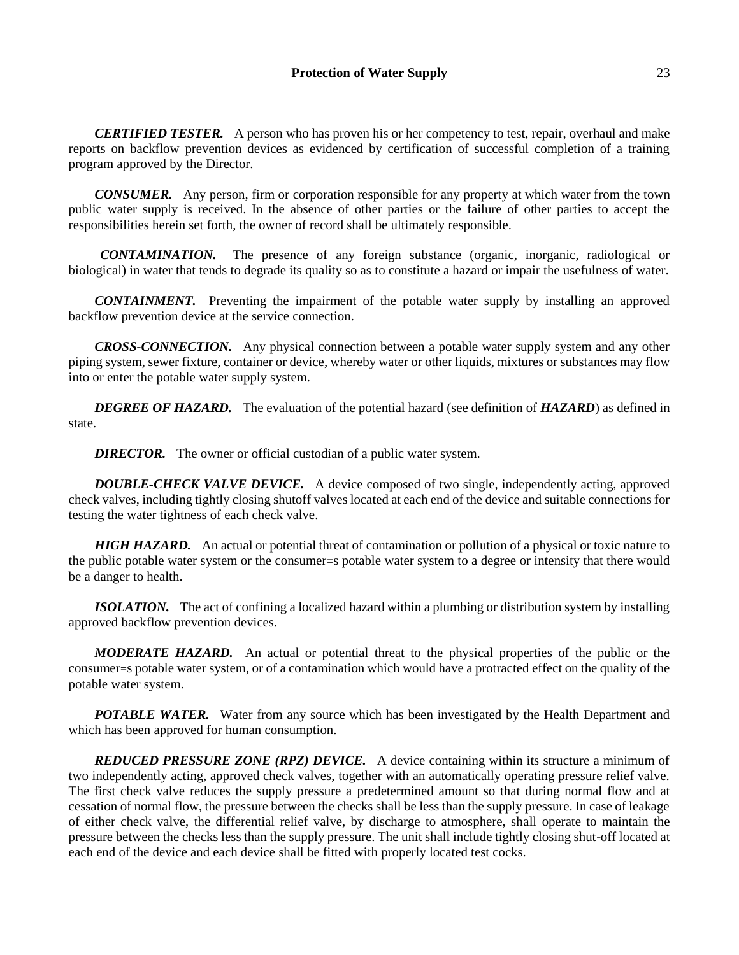*CERTIFIED TESTER.* A person who has proven his or her competency to test, repair, overhaul and make reports on backflow prevention devices as evidenced by certification of successful completion of a training program approved by the Director.

*CONSUMER.* Any person, firm or corporation responsible for any property at which water from the town public water supply is received. In the absence of other parties or the failure of other parties to accept the responsibilities herein set forth, the owner of record shall be ultimately responsible.

*CONTAMINATION.* The presence of any foreign substance (organic, inorganic, radiological or biological) in water that tends to degrade its quality so as to constitute a hazard or impair the usefulness of water.

*CONTAINMENT.* Preventing the impairment of the potable water supply by installing an approved backflow prevention device at the service connection.

*CROSS-CONNECTION.* Any physical connection between a potable water supply system and any other piping system, sewer fixture, container or device, whereby water or other liquids, mixtures or substances may flow into or enter the potable water supply system.

*DEGREE OF HAZARD.* The evaluation of the potential hazard (see definition of *HAZARD*) as defined in state.

*DIRECTOR.* The owner or official custodian of a public water system.

*DOUBLE-CHECK VALVE DEVICE.* A device composed of two single, independently acting, approved check valves, including tightly closing shutoff valves located at each end of the device and suitable connections for testing the water tightness of each check valve.

*HIGH HAZARD.* An actual or potential threat of contamination or pollution of a physical or toxic nature to the public potable water system or the consumer=s potable water system to a degree or intensity that there would be a danger to health.

*ISOLATION.* The act of confining a localized hazard within a plumbing or distribution system by installing approved backflow prevention devices.

*MODERATE HAZARD.* An actual or potential threat to the physical properties of the public or the consumer=s potable water system, or of a contamination which would have a protracted effect on the quality of the potable water system.

*POTABLE WATER.* Water from any source which has been investigated by the Health Department and which has been approved for human consumption.

*REDUCED PRESSURE ZONE (RPZ) DEVICE.* A device containing within its structure a minimum of two independently acting, approved check valves, together with an automatically operating pressure relief valve. The first check valve reduces the supply pressure a predetermined amount so that during normal flow and at cessation of normal flow, the pressure between the checks shall be less than the supply pressure. In case of leakage of either check valve, the differential relief valve, by discharge to atmosphere, shall operate to maintain the pressure between the checks less than the supply pressure. The unit shall include tightly closing shut-off located at each end of the device and each device shall be fitted with properly located test cocks.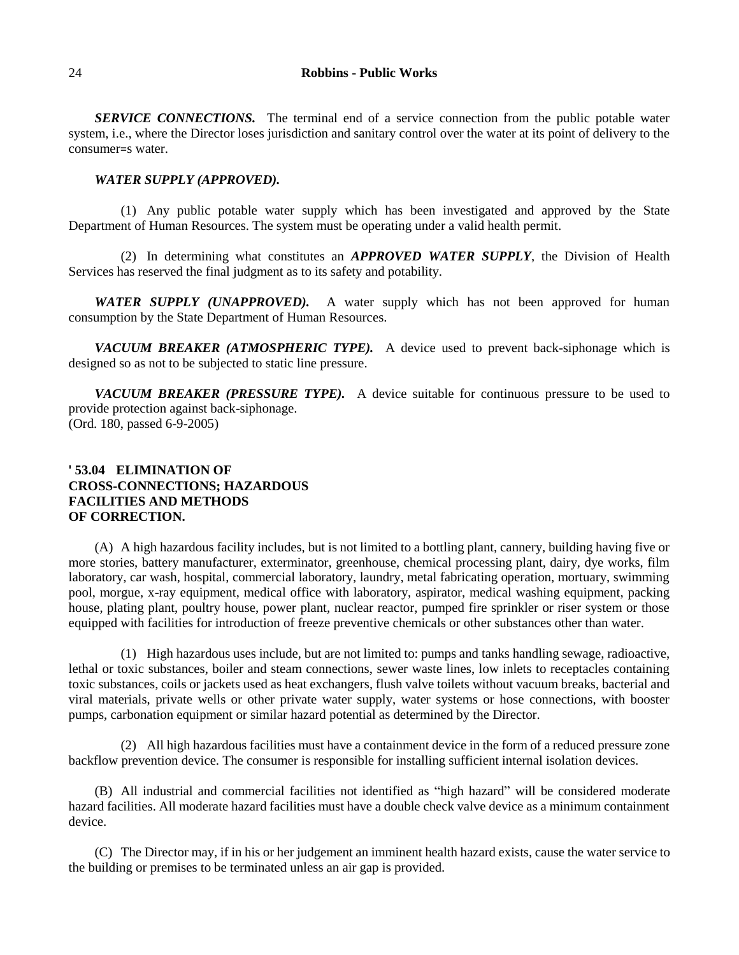**SERVICE CONNECTIONS.** The terminal end of a service connection from the public potable water system, i.e., where the Director loses jurisdiction and sanitary control over the water at its point of delivery to the consumer=s water.

## *WATER SUPPLY (APPROVED).*

(1) Any public potable water supply which has been investigated and approved by the State Department of Human Resources. The system must be operating under a valid health permit.

(2) In determining what constitutes an *APPROVED WATER SUPPLY*, the Division of Health Services has reserved the final judgment as to its safety and potability.

*WATER SUPPLY (UNAPPROVED).* A water supply which has not been approved for human consumption by the State Department of Human Resources.

*VACUUM BREAKER (ATMOSPHERIC TYPE).* A device used to prevent back-siphonage which is designed so as not to be subjected to static line pressure.

*VACUUM BREAKER (PRESSURE TYPE).* A device suitable for continuous pressure to be used to provide protection against back-siphonage. (Ord. 180, passed 6-9-2005)

## **' 53.04 ELIMINATION OF CROSS-CONNECTIONS; HAZARDOUS FACILITIES AND METHODS OF CORRECTION.**

(A) A high hazardous facility includes, but is not limited to a bottling plant, cannery, building having five or more stories, battery manufacturer, exterminator, greenhouse, chemical processing plant, dairy, dye works, film laboratory, car wash, hospital, commercial laboratory, laundry, metal fabricating operation, mortuary, swimming pool, morgue, x-ray equipment, medical office with laboratory, aspirator, medical washing equipment, packing house, plating plant, poultry house, power plant, nuclear reactor, pumped fire sprinkler or riser system or those equipped with facilities for introduction of freeze preventive chemicals or other substances other than water.

(1) High hazardous uses include, but are not limited to: pumps and tanks handling sewage, radioactive, lethal or toxic substances, boiler and steam connections, sewer waste lines, low inlets to receptacles containing toxic substances, coils or jackets used as heat exchangers, flush valve toilets without vacuum breaks, bacterial and viral materials, private wells or other private water supply, water systems or hose connections, with booster pumps, carbonation equipment or similar hazard potential as determined by the Director.

(2) All high hazardous facilities must have a containment device in the form of a reduced pressure zone backflow prevention device. The consumer is responsible for installing sufficient internal isolation devices.

(B) All industrial and commercial facilities not identified as "high hazard" will be considered moderate hazard facilities. All moderate hazard facilities must have a double check valve device as a minimum containment device.

(C) The Director may, if in his or her judgement an imminent health hazard exists, cause the water service to the building or premises to be terminated unless an air gap is provided.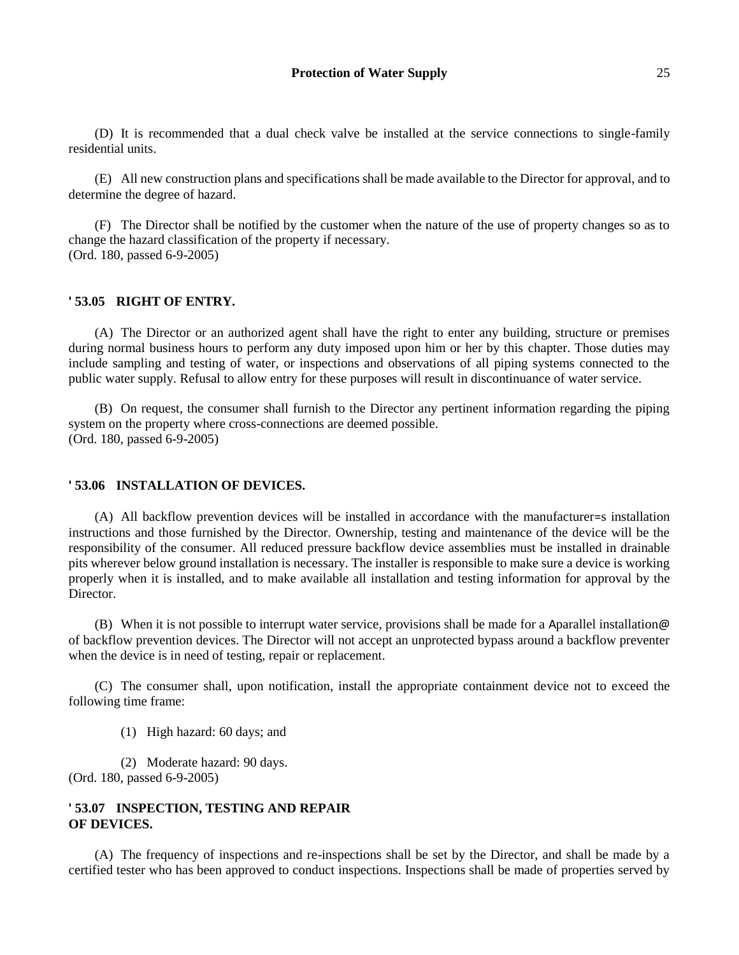(D) It is recommended that a dual check valve be installed at the service connections to single-family residential units.

(E) All new construction plans and specifications shall be made available to the Director for approval, and to determine the degree of hazard.

(F) The Director shall be notified by the customer when the nature of the use of property changes so as to change the hazard classification of the property if necessary. (Ord. 180, passed 6-9-2005)

## **' 53.05 RIGHT OF ENTRY.**

(A) The Director or an authorized agent shall have the right to enter any building, structure or premises during normal business hours to perform any duty imposed upon him or her by this chapter. Those duties may include sampling and testing of water, or inspections and observations of all piping systems connected to the public water supply. Refusal to allow entry for these purposes will result in discontinuance of water service.

(B) On request, the consumer shall furnish to the Director any pertinent information regarding the piping system on the property where cross-connections are deemed possible. (Ord. 180, passed 6-9-2005)

### **' 53.06 INSTALLATION OF DEVICES.**

(A) All backflow prevention devices will be installed in accordance with the manufacturer=s installation instructions and those furnished by the Director. Ownership, testing and maintenance of the device will be the responsibility of the consumer. All reduced pressure backflow device assemblies must be installed in drainable pits wherever below ground installation is necessary. The installer is responsible to make sure a device is working properly when it is installed, and to make available all installation and testing information for approval by the **Director** 

(B) When it is not possible to interrupt water service, provisions shall be made for a Aparallel installation@ of backflow prevention devices. The Director will not accept an unprotected bypass around a backflow preventer when the device is in need of testing, repair or replacement.

(C) The consumer shall, upon notification, install the appropriate containment device not to exceed the following time frame:

(1) High hazard: 60 days; and

(2) Moderate hazard: 90 days. (Ord. 180, passed 6-9-2005)

## **' 53.07 INSPECTION, TESTING AND REPAIR OF DEVICES.**

(A) The frequency of inspections and re-inspections shall be set by the Director, and shall be made by a certified tester who has been approved to conduct inspections. Inspections shall be made of properties served by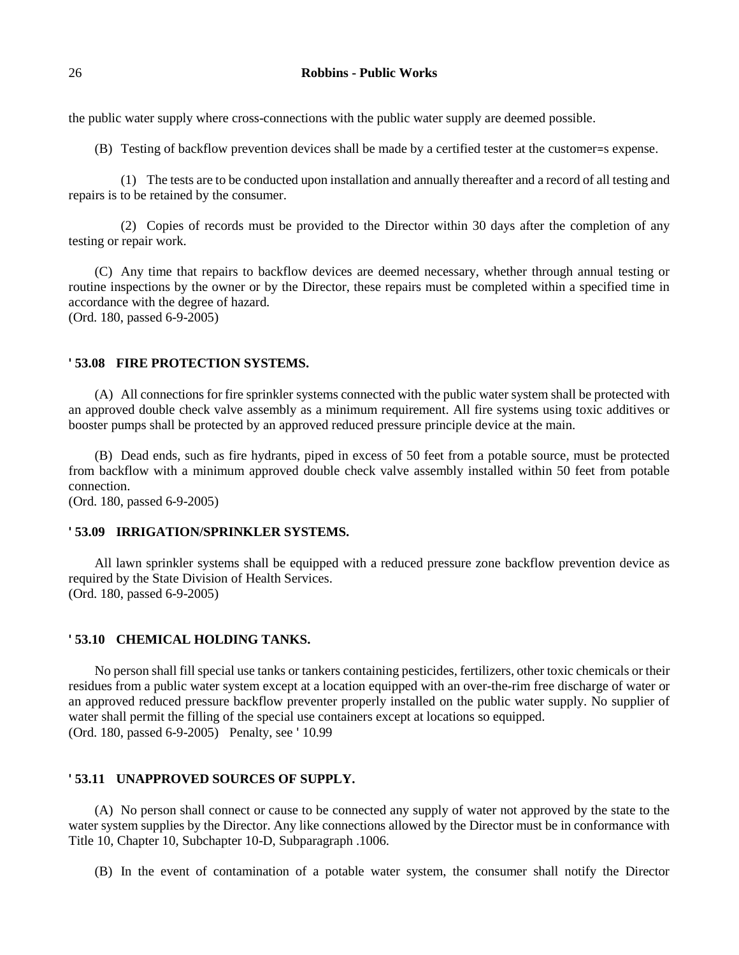the public water supply where cross-connections with the public water supply are deemed possible.

(B) Testing of backflow prevention devices shall be made by a certified tester at the customer=s expense.

(1) The tests are to be conducted upon installation and annually thereafter and a record of all testing and repairs is to be retained by the consumer.

(2) Copies of records must be provided to the Director within 30 days after the completion of any testing or repair work.

(C) Any time that repairs to backflow devices are deemed necessary, whether through annual testing or routine inspections by the owner or by the Director, these repairs must be completed within a specified time in accordance with the degree of hazard.

(Ord. 180, passed 6-9-2005)

#### **' 53.08 FIRE PROTECTION SYSTEMS.**

(A) All connections for fire sprinkler systems connected with the public water system shall be protected with an approved double check valve assembly as a minimum requirement. All fire systems using toxic additives or booster pumps shall be protected by an approved reduced pressure principle device at the main.

(B) Dead ends, such as fire hydrants, piped in excess of 50 feet from a potable source, must be protected from backflow with a minimum approved double check valve assembly installed within 50 feet from potable connection.

(Ord. 180, passed 6-9-2005)

#### **' 53.09 IRRIGATION/SPRINKLER SYSTEMS.**

All lawn sprinkler systems shall be equipped with a reduced pressure zone backflow prevention device as required by the State Division of Health Services. (Ord. 180, passed 6-9-2005)

### **' 53.10 CHEMICAL HOLDING TANKS.**

No person shall fill special use tanks or tankers containing pesticides, fertilizers, other toxic chemicals or their residues from a public water system except at a location equipped with an over-the-rim free discharge of water or an approved reduced pressure backflow preventer properly installed on the public water supply. No supplier of water shall permit the filling of the special use containers except at locations so equipped. (Ord. 180, passed 6-9-2005) Penalty, see ' 10.99

### **' 53.11 UNAPPROVED SOURCES OF SUPPLY.**

(A) No person shall connect or cause to be connected any supply of water not approved by the state to the water system supplies by the Director. Any like connections allowed by the Director must be in conformance with Title 10, Chapter 10, Subchapter 10-D, Subparagraph .1006.

(B) In the event of contamination of a potable water system, the consumer shall notify the Director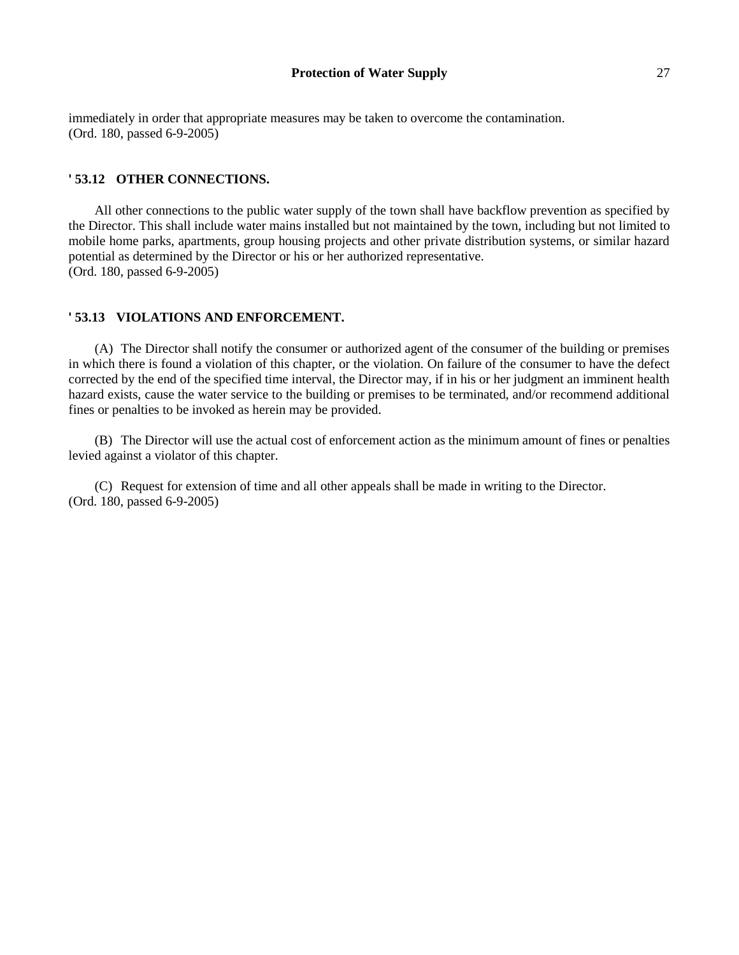immediately in order that appropriate measures may be taken to overcome the contamination. (Ord. 180, passed 6-9-2005)

#### **' 53.12 OTHER CONNECTIONS.**

All other connections to the public water supply of the town shall have backflow prevention as specified by the Director. This shall include water mains installed but not maintained by the town, including but not limited to mobile home parks, apartments, group housing projects and other private distribution systems, or similar hazard potential as determined by the Director or his or her authorized representative. (Ord. 180, passed 6-9-2005)

#### **' 53.13 VIOLATIONS AND ENFORCEMENT.**

(A) The Director shall notify the consumer or authorized agent of the consumer of the building or premises in which there is found a violation of this chapter, or the violation. On failure of the consumer to have the defect corrected by the end of the specified time interval, the Director may, if in his or her judgment an imminent health hazard exists, cause the water service to the building or premises to be terminated, and/or recommend additional fines or penalties to be invoked as herein may be provided.

(B) The Director will use the actual cost of enforcement action as the minimum amount of fines or penalties levied against a violator of this chapter.

(C) Request for extension of time and all other appeals shall be made in writing to the Director. (Ord. 180, passed 6-9-2005)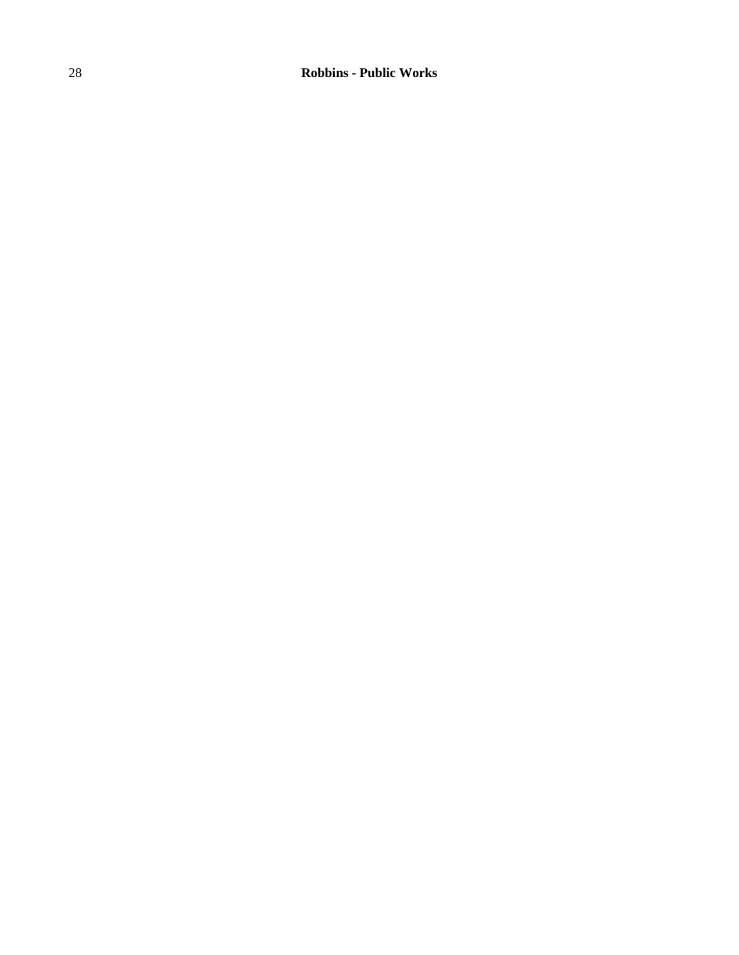**Robbins - Public Works**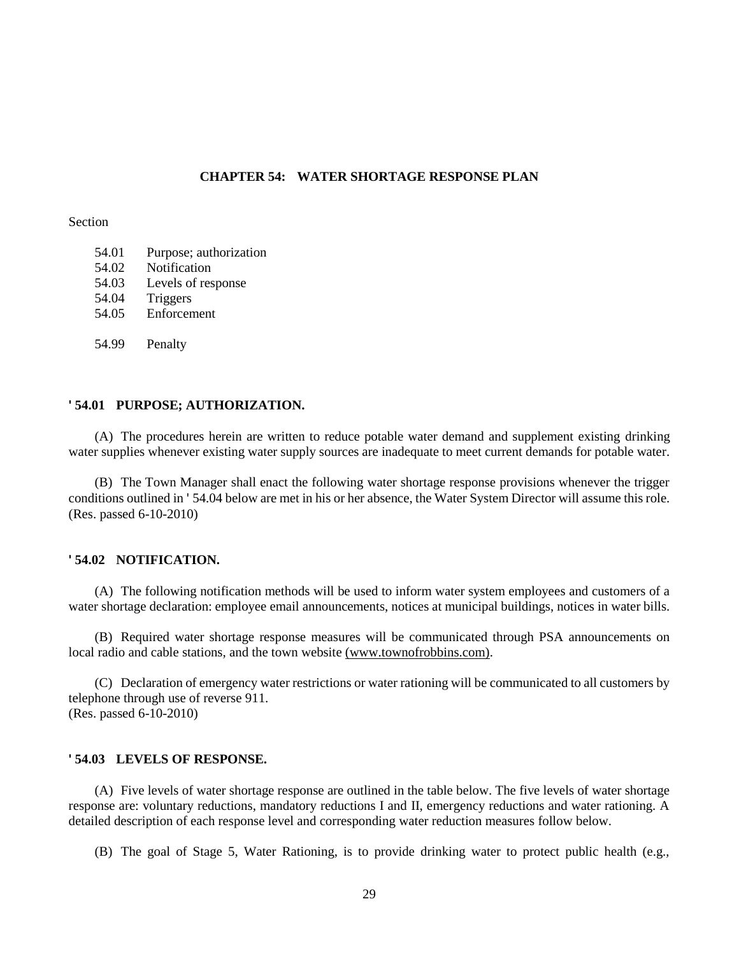#### **CHAPTER 54: WATER SHORTAGE RESPONSE PLAN**

## Section

| 54.01 | Purpose; authorization |
|-------|------------------------|
| 54.02 | Notification           |
| 54.03 | Levels of response     |
| 54.04 | <b>Triggers</b>        |
| 54.05 | Enforcement            |
|       |                        |

# 54.99 Penalty

#### **' 54.01 PURPOSE; AUTHORIZATION.**

(A) The procedures herein are written to reduce potable water demand and supplement existing drinking water supplies whenever existing water supply sources are inadequate to meet current demands for potable water.

(B) The Town Manager shall enact the following water shortage response provisions whenever the trigger conditions outlined in ' 54.04 below are met in his or her absence, the Water System Director will assume this role. (Res. passed 6-10-2010)

#### **' 54.02 NOTIFICATION.**

(A) The following notification methods will be used to inform water system employees and customers of a water shortage declaration: employee email announcements, notices at municipal buildings, notices in water bills.

(B) Required water shortage response measures will be communicated through PSA announcements on local radio and cable stations, and the town website (www.townofrobbins.com).

(C) Declaration of emergency water restrictions or water rationing will be communicated to all customers by telephone through use of reverse 911. (Res. passed 6-10-2010)

#### **' 54.03 LEVELS OF RESPONSE.**

(A) Five levels of water shortage response are outlined in the table below. The five levels of water shortage response are: voluntary reductions, mandatory reductions I and II, emergency reductions and water rationing. A detailed description of each response level and corresponding water reduction measures follow below.

(B) The goal of Stage 5, Water Rationing, is to provide drinking water to protect public health (e.g.,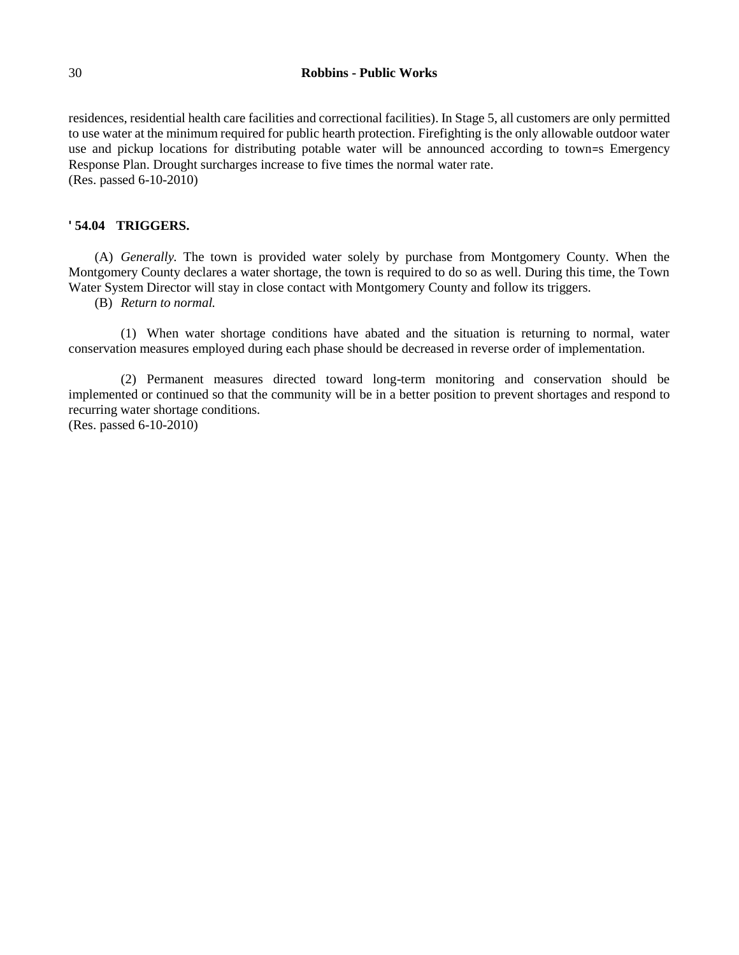residences, residential health care facilities and correctional facilities). In Stage 5, all customers are only permitted to use water at the minimum required for public hearth protection. Firefighting is the only allowable outdoor water use and pickup locations for distributing potable water will be announced according to town=s Emergency Response Plan. Drought surcharges increase to five times the normal water rate. (Res. passed 6-10-2010)

## **' 54.04 TRIGGERS.**

(A) *Generally.* The town is provided water solely by purchase from Montgomery County. When the Montgomery County declares a water shortage, the town is required to do so as well. During this time, the Town Water System Director will stay in close contact with Montgomery County and follow its triggers.

(B) *Return to normal.*

(1) When water shortage conditions have abated and the situation is returning to normal, water conservation measures employed during each phase should be decreased in reverse order of implementation.

(2) Permanent measures directed toward long-term monitoring and conservation should be implemented or continued so that the community will be in a better position to prevent shortages and respond to recurring water shortage conditions.

(Res. passed 6-10-2010)